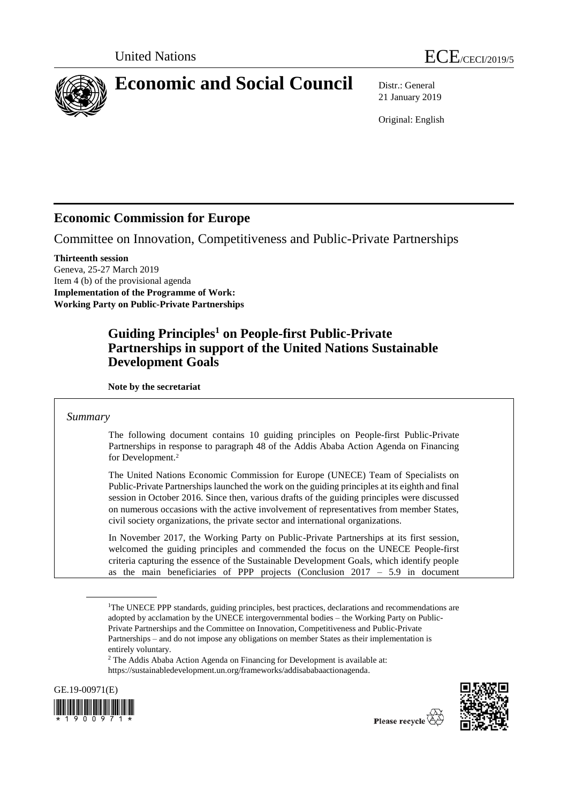

21 January 2019

Original: English

# **Economic Commission for Europe**

Committee on Innovation, Competitiveness and Public-Private Partnerships

**Thirteenth session** Geneva, 25-27 March 2019 Item 4 (b) of the provisional agenda **Implementation of the Programme of Work: Working Party on Public-Private Partnerships**

# **Guiding Principles<sup>1</sup> on People-first Public-Private Partnerships in support of the United Nations Sustainable Development Goals**

**Note by the secretariat**

# *Summary*

The following document contains 10 guiding principles on People-first Public-Private Partnerships in response to paragraph 48 of the Addis Ababa Action Agenda on Financing for Development.<sup>2</sup>

The United Nations Economic Commission for Europe (UNECE) Team of Specialists on Public-Private Partnerships launched the work on the guiding principles at its eighth and final session in October 2016. Since then, various drafts of the guiding principles were discussed on numerous occasions with the active involvement of representatives from member States, civil society organizations, the private sector and international organizations.

In November 2017, the Working Party on Public-Private Partnerships at its first session, welcomed the guiding principles and commended the focus on the UNECE People-first criteria capturing the essence of the Sustainable Development Goals, which identify people as the main beneficiaries of PPP projects (Conclusion  $2017 - 5.9$  in document

<sup>2</sup> The Addis Ababa Action Agenda on Financing for Development is available at: [https://sustainabledevelopment.un.org/frameworks/addisababaactionagenda.](https://sustainabledevelopment.un.org/frameworks/addisababaactionagenda)





<sup>&</sup>lt;sup>1</sup>The UNECE PPP standards, guiding principles, best practices, declarations and recommendations are adopted by acclamation by the UNECE intergovernmental bodies – the Working Party on Public-Private Partnerships and the Committee on Innovation, Competitiveness and Public-Private Partnerships – and do not impose any obligations on member States as their implementation is entirely voluntary.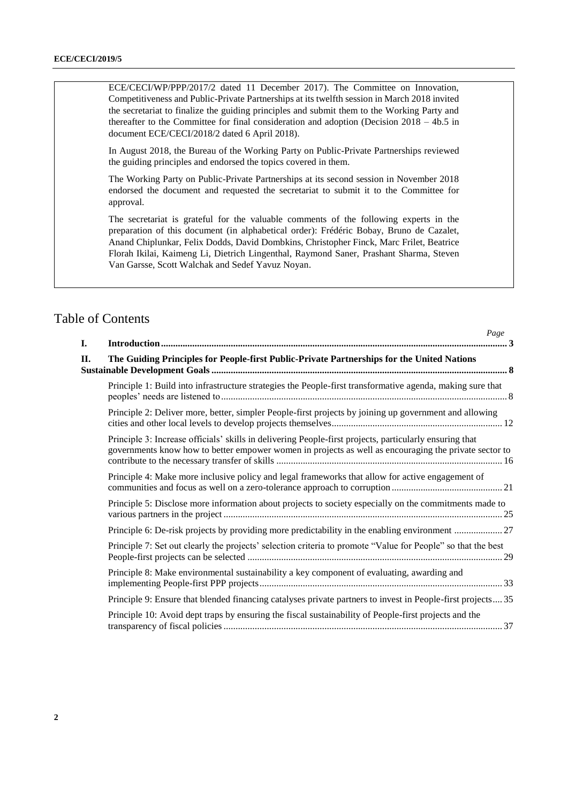ECE/CECI/WP/PPP/2017/2 dated 11 December 2017). The Committee on Innovation, Competitiveness and Public-Private Partnerships at its twelfth session in March 2018 invited the secretariat to finalize the guiding principles and submit them to the Working Party and thereafter to the Committee for final consideration and adoption (Decision 2018 – 4b.5 in document ECE/CECI/2018/2 dated 6 April 2018).

In August 2018, the Bureau of the Working Party on Public-Private Partnerships reviewed the guiding principles and endorsed the topics covered in them.

The Working Party on Public-Private Partnerships at its second session in November 2018 endorsed the document and requested the secretariat to submit it to the Committee for approval.

The secretariat is grateful for the valuable comments of the following experts in the preparation of this document (in alphabetical order): Frédéric Bobay, Bruno de Cazalet, Anand Chiplunkar, Felix Dodds, David Dombkins, Christopher Finck, Marc Frilet, Beatrice Florah Ikilai, Kaimeng Li, Dietrich Lingenthal, Raymond Saner, Prashant Sharma, Steven Van Garsse, Scott Walchak and Sedef Yavuz Noyan.

*Page*

# Table of Contents

| I. | 1 uge                                                                                                                                                                                                            |
|----|------------------------------------------------------------------------------------------------------------------------------------------------------------------------------------------------------------------|
| П. | The Guiding Principles for People-first Public-Private Partnerships for the United Nations                                                                                                                       |
|    | Principle 1: Build into infrastructure strategies the People-first transformative agenda, making sure that                                                                                                       |
|    | Principle 2: Deliver more, better, simpler People-first projects by joining up government and allowing                                                                                                           |
|    | Principle 3: Increase officials' skills in delivering People-first projects, particularly ensuring that<br>governments know how to better empower women in projects as well as encouraging the private sector to |
|    | Principle 4: Make more inclusive policy and legal frameworks that allow for active engagement of                                                                                                                 |
|    | Principle 5: Disclose more information about projects to society especially on the commitments made to                                                                                                           |
|    |                                                                                                                                                                                                                  |
|    | Principle 7: Set out clearly the projects' selection criteria to promote "Value for People" so that the best                                                                                                     |
|    | Principle 8: Make environmental sustainability a key component of evaluating, awarding and                                                                                                                       |
|    | Principle 9: Ensure that blended financing catalyses private partners to invest in People-first projects35                                                                                                       |
|    | Principle 10: Avoid dept traps by ensuring the fiscal sustainability of People-first projects and the                                                                                                            |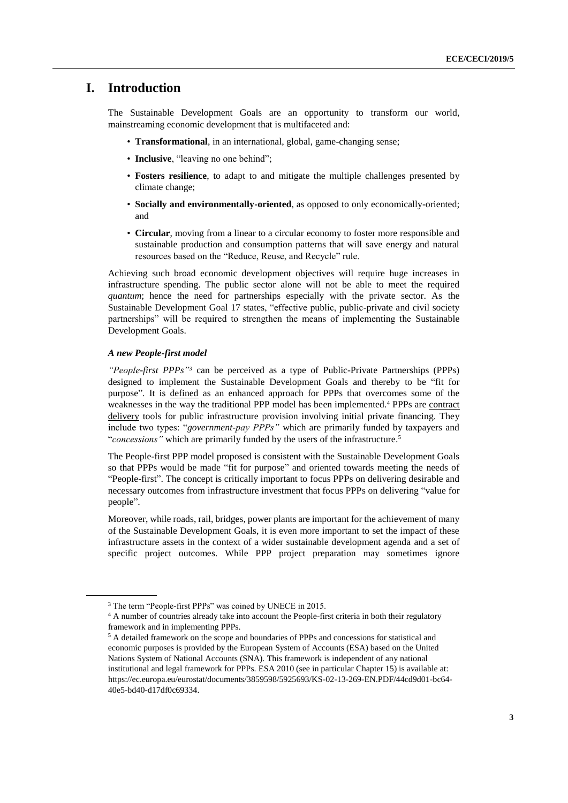# <span id="page-2-0"></span>**I. Introduction**

The Sustainable Development Goals are an opportunity to transform our world, mainstreaming economic development that is multifaceted and:

- **Transformational**, in an international, global, game-changing sense;
- **Inclusive**, "leaving no one behind";
- **Fosters resilience**, to adapt to and mitigate the multiple challenges presented by climate change;
- **Socially and environmentally-oriented**, as opposed to only economically-oriented; and
- **Circular**, moving from a linear to a circular economy to foster more responsible and sustainable production and consumption patterns that will save energy and natural resources based on the "Reduce, Reuse, and Recycle" rule.

Achieving such broad economic development objectives will require huge increases in infrastructure spending. The public sector alone will not be able to meet the required *quantum*; hence the need for partnerships especially with the private sector. As the Sustainable Development Goal 17 states, "effective public, public-private and civil society partnerships" will be required to strengthen the means of implementing the Sustainable Development Goals.

# *A new People-first model*

*"People-first PPPs" <sup>3</sup>* can be perceived as a type of Public-Private Partnerships (PPPs) designed to implement the Sustainable Development Goals and thereby to be "fit for purpose". It is defined as an enhanced approach for PPPs that overcomes some of the weaknesses in the way the traditional PPP model has been implemented.<sup>4</sup> PPPs are contract delivery tools for public infrastructure provision involving initial private financing. They include two types: "*government-pay PPPs"* which are primarily funded by taxpayers and "*concessions"* which are primarily funded by the users of the infrastructure. 5

The People-first PPP model proposed is consistent with the Sustainable Development Goals so that PPPs would be made "fit for purpose" and oriented towards meeting the needs of "People-first". The concept is critically important to focus PPPs on delivering desirable and necessary outcomes from infrastructure investment that focus PPPs on delivering "value for people".

Moreover, while roads, rail, bridges, power plants are important for the achievement of many of the Sustainable Development Goals, it is even more important to set the impact of these infrastructure assets in the context of a wider sustainable development agenda and a set of specific project outcomes. While PPP project preparation may sometimes ignore

<sup>3</sup> The term "People-first PPPs" was coined by UNECE in 2015.

<sup>4</sup> A number of countries already take into account the People-first criteria in both their regulatory framework and in implementing PPPs.

<sup>5</sup> A detailed framework on the scope and boundaries of PPPs and concessions for statistical and economic purposes is provided by the European System of Accounts (ESA) based on the United Nations System of National Accounts (SNA). This framework is independent of any national institutional and legal framework for PPPs. ESA 2010 (see in particular Chapter 15) is available at: [https://ec.europa.eu/eurostat/documents/3859598/5925693/KS-02-13-269-EN.PDF/44cd9d01-bc64-](https://ec.europa.eu/eurostat/documents/3859598/5925693/KS-02-13-269-EN.PDF/44cd9d01-bc64-40e5-bd40-d17df0c69334) [40e5-bd40-d17df0c69334.](https://ec.europa.eu/eurostat/documents/3859598/5925693/KS-02-13-269-EN.PDF/44cd9d01-bc64-40e5-bd40-d17df0c69334)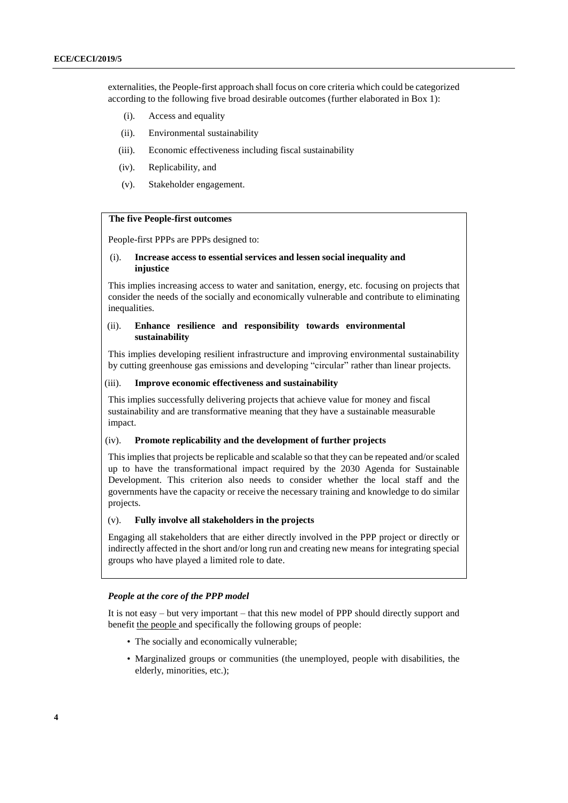externalities, the People-first approach shall focus on core criteria which could be categorized according to the following five broad desirable outcomes (further elaborated in Box 1):

- (i). Access and equality
- (ii). Environmental sustainability
- (iii). Economic effectiveness including fiscal sustainability
- (iv). Replicability, and
- (v). Stakeholder engagement.

# **The five People-first outcomes**

People-first PPPs are PPPs designed to:

# (i). **Increase access to essential services and lessen social inequality and injustice**

This implies increasing access to water and sanitation, energy, etc. focusing on projects that consider the needs of the socially and economically vulnerable and contribute to eliminating inequalities.

# (ii). **Enhance resilience and responsibility towards environmental sustainability**

This implies developing resilient infrastructure and improving environmental sustainability by cutting greenhouse gas emissions and developing "circular" rather than linear projects.

# (iii). **Improve economic effectiveness and sustainability**

This implies successfully delivering projects that achieve value for money and fiscal sustainability and are transformative meaning that they have a sustainable measurable impact.

## (iv). **Promote replicability and the development of further projects**

This implies that projects be replicable and scalable so that they can be repeated and/or scaled up to have the transformational impact required by the 2030 Agenda for Sustainable Development. This criterion also needs to consider whether the local staff and the governments have the capacity or receive the necessary training and knowledge to do similar projects.

# (v). **Fully involve all stakeholders in the projects**

Engaging all stakeholders that are either directly involved in the PPP project or directly or indirectly affected in the short and/or long run and creating new means for integrating special groups who have played a limited role to date.

## *People at the core of the PPP model*

It is not easy – but very important – that this new model of PPP should directly support and benefit the people and specifically the following groups of people:

- The socially and economically vulnerable;
- Marginalized groups or communities (the unemployed, people with disabilities, the elderly, minorities, etc.);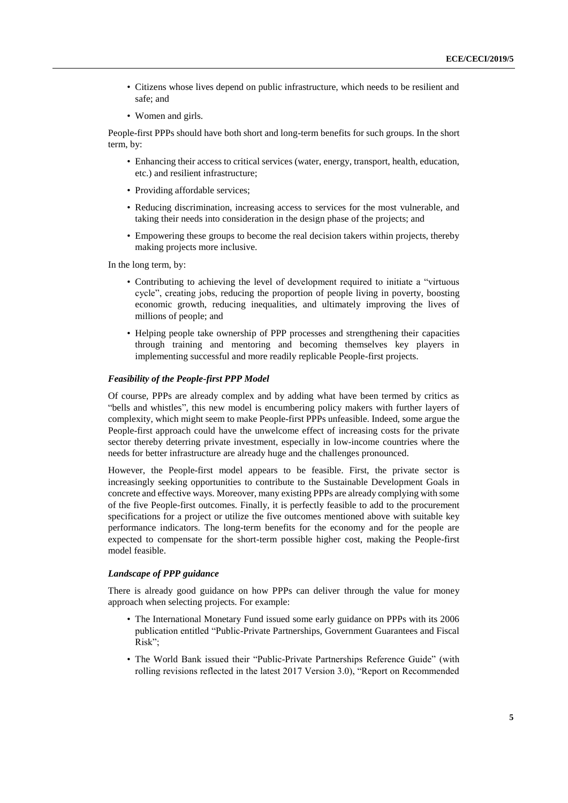- Citizens whose lives depend on public infrastructure, which needs to be resilient and safe; and
- Women and girls.

People-first PPPs should have both short and long-term benefits for such groups. In the short term, by:

- Enhancing their access to critical services (water, energy, transport, health, education, etc.) and resilient infrastructure;
- Providing affordable services;
- Reducing discrimination, increasing access to services for the most vulnerable, and taking their needs into consideration in the design phase of the projects; and
- Empowering these groups to become the real decision takers within projects, thereby making projects more inclusive.

In the long term, by:

- Contributing to achieving the level of development required to initiate a "virtuous cycle", creating jobs, reducing the proportion of people living in poverty, boosting economic growth, reducing inequalities, and ultimately improving the lives of millions of people; and
- Helping people take ownership of PPP processes and strengthening their capacities through training and mentoring and becoming themselves key players in implementing successful and more readily replicable People-first projects.

#### *Feasibility of the People-first PPP Model*

Of course, PPPs are already complex and by adding what have been termed by critics as "bells and whistles", this new model is encumbering policy makers with further layers of complexity, which might seem to make People-first PPPs unfeasible. Indeed, some argue the People-first approach could have the unwelcome effect of increasing costs for the private sector thereby deterring private investment, especially in low-income countries where the needs for better infrastructure are already huge and the challenges pronounced.

However, the People-first model appears to be feasible. First, the private sector is increasingly seeking opportunities to contribute to the Sustainable Development Goals in concrete and effective ways. Moreover, many existing PPPs are already complying with some of the five People-first outcomes. Finally, it is perfectly feasible to add to the procurement specifications for a project or utilize the five outcomes mentioned above with suitable key performance indicators. The long-term benefits for the economy and for the people are expected to compensate for the short-term possible higher cost, making the People-first model feasible.

# *Landscape of PPP guidance*

There is already good guidance on how PPPs can deliver through the value for money approach when selecting projects. For example:

- The International Monetary Fund issued some early guidance on PPPs with its 2006 publication entitled "Public-Private Partnerships, Government Guarantees and Fiscal Risk";
- The World Bank issued their "Public-Private Partnerships Reference Guide" (with rolling revisions reflected in the latest 2017 Version 3.0), "Report on Recommended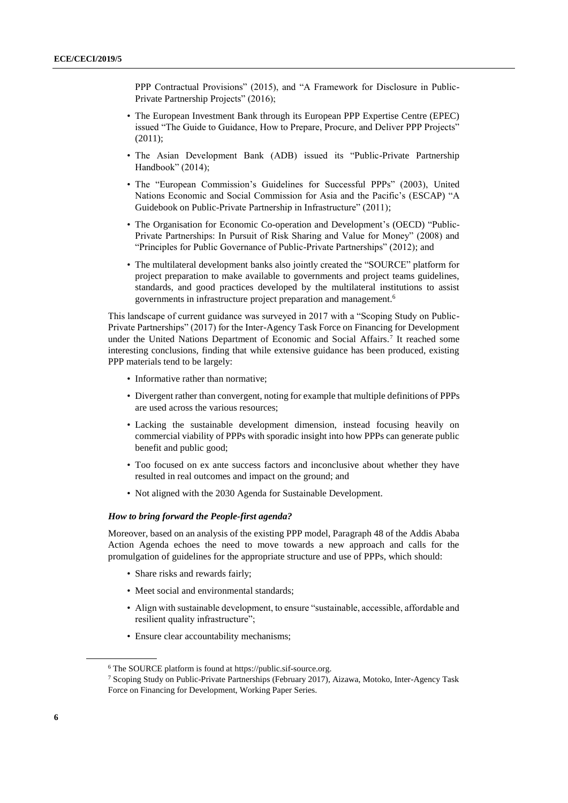PPP Contractual Provisions" (2015), and "A Framework for Disclosure in Public-Private Partnership Projects" (2016);

- The European Investment Bank through its European PPP Expertise Centre (EPEC) issued "The Guide to Guidance, How to Prepare, Procure, and Deliver PPP Projects" (2011);
- The Asian Development Bank (ADB) issued its "Public-Private Partnership Handbook" (2014);
- The "European Commission's Guidelines for Successful PPPs" (2003), United Nations Economic and Social Commission for Asia and the Pacific's (ESCAP) "A Guidebook on Public-Private Partnership in Infrastructure" (2011);
- The Organisation for Economic Co-operation and Development's (OECD) "Public-Private Partnerships: In Pursuit of Risk Sharing and Value for Money" (2008) and "Principles for Public Governance of Public-Private Partnerships" (2012); and
- The multilateral development banks also jointly created the "SOURCE" platform for project preparation to make available to governments and project teams guidelines, standards, and good practices developed by the multilateral institutions to assist governments in infrastructure project preparation and management. 6

This landscape of current guidance was surveyed in 2017 with a "Scoping Study on Public-Private Partnerships" (2017) for the Inter-Agency Task Force on Financing for Development under the United Nations Department of Economic and Social Affairs.<sup>7</sup> It reached some interesting conclusions, finding that while extensive guidance has been produced, existing PPP materials tend to be largely:

- Informative rather than normative;
- Divergent rather than convergent, noting for example that multiple definitions of PPPs are used across the various resources;
- Lacking the sustainable development dimension, instead focusing heavily on commercial viability of PPPs with sporadic insight into how PPPs can generate public benefit and public good;
- Too focused on ex ante success factors and inconclusive about whether they have resulted in real outcomes and impact on the ground; and
- Not aligned with the 2030 Agenda for Sustainable Development.

# *How to bring forward the People-first agenda?*

Moreover, based on an analysis of the existing PPP model, Paragraph 48 of the Addis Ababa Action Agenda echoes the need to move towards a new approach and calls for the promulgation of guidelines for the appropriate structure and use of PPPs, which should:

- Share risks and rewards fairly;
- Meet social and environmental standards;
- Align with sustainable development, to ensure "sustainable, accessible, affordable and resilient quality infrastructure";
- Ensure clear accountability mechanisms;

<sup>6</sup> The SOURCE platform is found at [https://public.sif-source.org.](https://public.sif-source.org/)

<sup>7</sup> Scoping Study on Public-Private Partnerships (February 2017), Aizawa, Motoko, Inter-Agency Task Force on Financing for Development, Working Paper Series.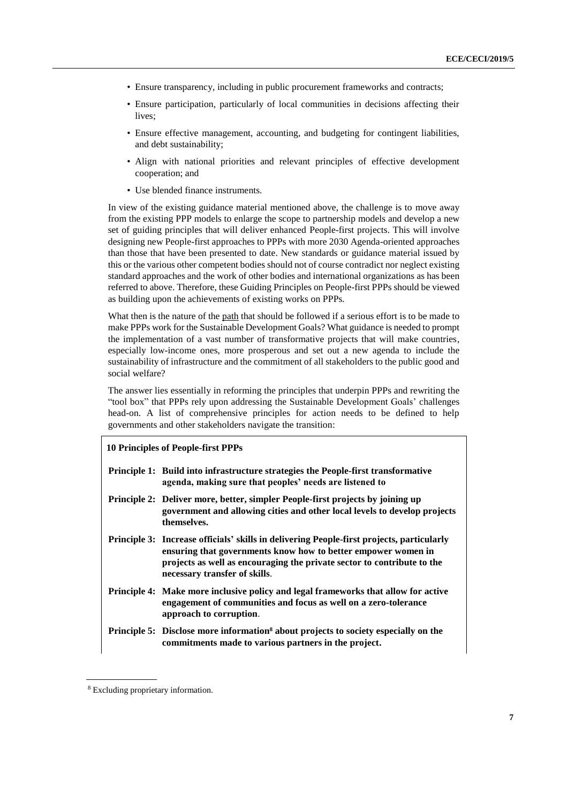- Ensure transparency, including in public procurement frameworks and contracts;
- Ensure participation, particularly of local communities in decisions affecting their lives;
- Ensure effective management, accounting, and budgeting for contingent liabilities, and debt sustainability;
- Align with national priorities and relevant principles of effective development cooperation; and
- Use blended finance instruments.

In view of the existing guidance material mentioned above, the challenge is to move away from the existing PPP models to enlarge the scope to partnership models and develop a new set of guiding principles that will deliver enhanced People-first projects. This will involve designing new People-first approaches to PPPs with more 2030 Agenda-oriented approaches than those that have been presented to date. New standards or guidance material issued by this or the various other competent bodies should not of course contradict nor neglect existing standard approaches and the work of other bodies and international organizations as has been referred to above. Therefore, these Guiding Principles on People-first PPPs should be viewed as building upon the achievements of existing works on PPPs.

What then is the nature of the path that should be followed if a serious effort is to be made to make PPPs work for the Sustainable Development Goals? What guidance is needed to prompt the implementation of a vast number of transformative projects that will make countries, especially low-income ones, more prosperous and set out a new agenda to include the sustainability of infrastructure and the commitment of all stakeholders to the public good and social welfare?

The answer lies essentially in reforming the principles that underpin PPPs and rewriting the "tool box" that PPPs rely upon addressing the Sustainable Development Goals' challenges head-on. A list of comprehensive principles for action needs to be defined to help governments and other stakeholders navigate the transition:

# **10 Principles of People-first PPPs**

- **Principle 1: Build into infrastructure strategies the People-first transformative agenda, making sure that peoples' needs are listened to**
- **Principle 2: Deliver more, better, simpler People-first projects by joining up government and allowing cities and other local levels to develop projects themselves.**
- **Principle 3: Increase officials' skills in delivering People-first projects, particularly ensuring that governments know how to better empower women in projects as well as encouraging the private sector to contribute to the necessary transfer of skills**.
- **Principle 4: Make more inclusive policy and legal frameworks that allow for active engagement of communities and focus as well on a zero-tolerance approach to corruption**.
- **Principle 5: Disclose more information<sup>8</sup> about projects to society especially on the commitments made to various partners in the project.**

<sup>8</sup> Excluding proprietary information.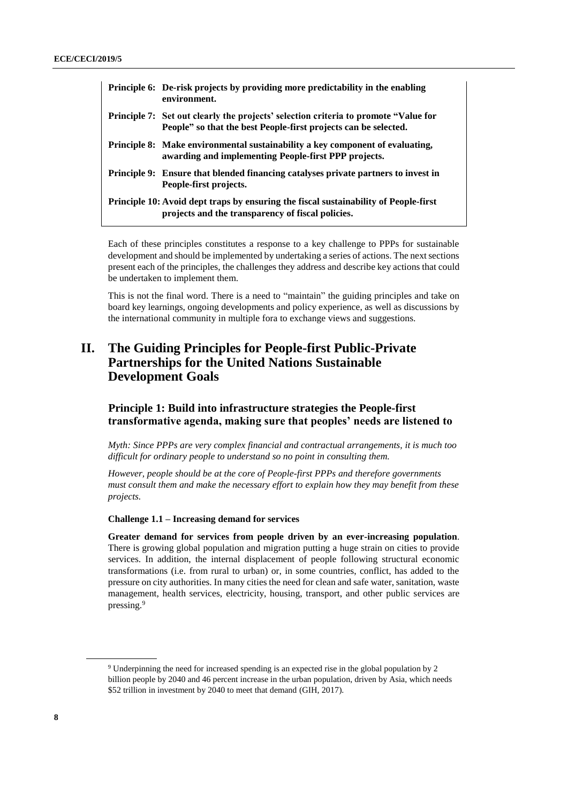| Principle 6: De-risk projects by providing more predictability in the enabling<br>environment.                                                         |
|--------------------------------------------------------------------------------------------------------------------------------------------------------|
| Principle 7: Set out clearly the projects' selection criteria to promote "Value for<br>People" so that the best People-first projects can be selected. |
| Principle 8: Make environmental sustainability a key component of evaluating,<br>awarding and implementing People-first PPP projects.                  |
| <b>Principle 9:</b> Ensure that blended financing catalyses private partners to invest in<br>People-first projects.                                    |
| Principle 10: Avoid dept traps by ensuring the fiscal sustainability of People-first<br>projects and the transparency of fiscal policies.              |

Each of these principles constitutes a response to a key challenge to PPPs for sustainable development and should be implemented by undertaking a series of actions. The next sections present each of the principles, the challenges they address and describe key actions that could be undertaken to implement them.

This is not the final word. There is a need to "maintain" the guiding principles and take on board key learnings, ongoing developments and policy experience, as well as discussions by the international community in multiple fora to exchange views and suggestions.

# <span id="page-7-0"></span>**II. The Guiding Principles for People-first Public-Private Partnerships for the United Nations Sustainable Development Goals**

# <span id="page-7-1"></span>**Principle 1: Build into infrastructure strategies the People-first transformative agenda, making sure that peoples' needs are listened to**

*Myth: Since PPPs are very complex financial and contractual arrangements, it is much too difficult for ordinary people to understand so no point in consulting them.* 

*However, people should be at the core of People-first PPPs and therefore governments must consult them and make the necessary effort to explain how they may benefit from these projects.*

# **Challenge 1.1 – Increasing demand for services**

**Greater demand for services from people driven by an ever-increasing population**. There is growing global population and migration putting a huge strain on cities to provide services. In addition, the internal displacement of people following structural economic transformations (i.e. from rural to urban) or, in some countries, conflict, has added to the pressure on city authorities. In many cities the need for clean and safe water, sanitation, waste management, health services, electricity, housing, transport, and other public services are pressing.<sup>9</sup>

<sup>9</sup> Underpinning the need for increased spending is an expected rise in the global population by 2 billion people by 2040 and 46 percent increase in the urban population, driven by Asia, which needs \$52 trillion in investment by 2040 to meet that demand (GIH, 2017).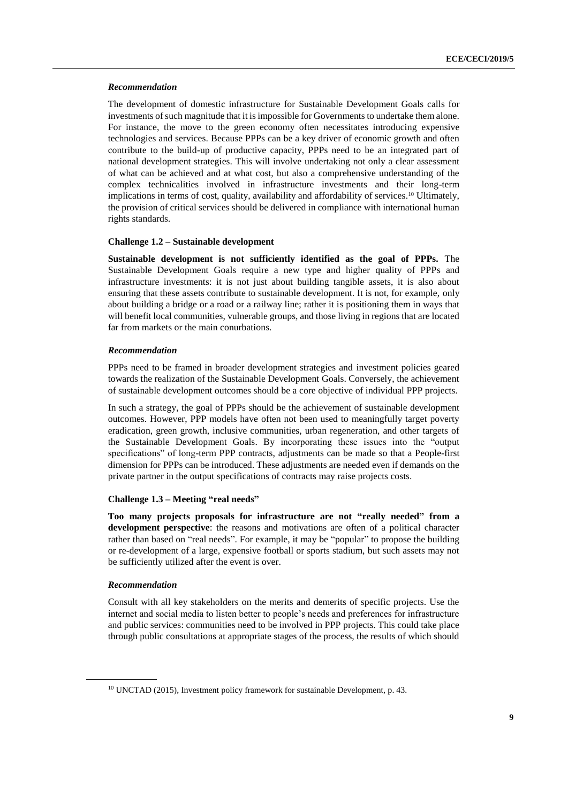## *Recommendation*

The development of domestic infrastructure for Sustainable Development Goals calls for investments of such magnitude that it is impossible for Governments to undertake them alone. For instance, the move to the green economy often necessitates introducing expensive technologies and services. Because PPPs can be a key driver of economic growth and often contribute to the build-up of productive capacity, PPPs need to be an integrated part of national development strategies. This will involve undertaking not only a clear assessment of what can be achieved and at what cost, but also a comprehensive understanding of the complex technicalities involved in infrastructure investments and their long-term implications in terms of cost, quality, availability and affordability of services. <sup>10</sup> Ultimately, the provision of critical services should be delivered in compliance with international human rights standards.

## **Challenge 1.2 – Sustainable development**

**Sustainable development is not sufficiently identified as the goal of PPPs.** The Sustainable Development Goals require a new type and higher quality of PPPs and infrastructure investments: it is not just about building tangible assets, it is also about ensuring that these assets contribute to sustainable development. It is not, for example, only about building a bridge or a road or a railway line; rather it is positioning them in ways that will benefit local communities, vulnerable groups, and those living in regions that are located far from markets or the main conurbations.

### *Recommendation*

PPPs need to be framed in broader development strategies and investment policies geared towards the realization of the Sustainable Development Goals. Conversely, the achievement of sustainable development outcomes should be a core objective of individual PPP projects.

In such a strategy, the goal of PPPs should be the achievement of sustainable development outcomes. However, PPP models have often not been used to meaningfully target poverty eradication, green growth, inclusive communities, urban regeneration, and other targets of the Sustainable Development Goals. By incorporating these issues into the "output specifications" of long-term PPP contracts, adjustments can be made so that a People-first dimension for PPPs can be introduced. These adjustments are needed even if demands on the private partner in the output specifications of contracts may raise projects costs.

#### **Challenge 1.3 – Meeting "real needs"**

**Too many projects proposals for infrastructure are not "really needed" from a development perspective**: the reasons and motivations are often of a political character rather than based on "real needs". For example, it may be "popular" to propose the building or re-development of a large, expensive football or sports stadium, but such assets may not be sufficiently utilized after the event is over.

#### *Recommendation*

Consult with all key stakeholders on the merits and demerits of specific projects. Use the internet and social media to listen better to people's needs and preferences for infrastructure and public services: communities need to be involved in PPP projects. This could take place through public consultations at appropriate stages of the process, the results of which should

<sup>10</sup> UNCTAD (2015), Investment policy framework for sustainable Development, p. 43.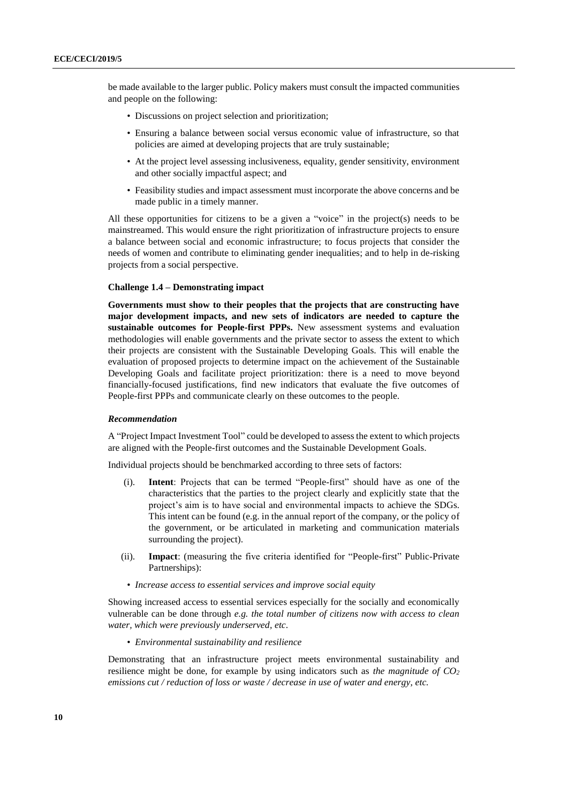be made available to the larger public. Policy makers must consult the impacted communities and people on the following:

- Discussions on project selection and prioritization;
- Ensuring a balance between social versus economic value of infrastructure, so that policies are aimed at developing projects that are truly sustainable;
- At the project level assessing inclusiveness, equality, gender sensitivity, environment and other socially impactful aspect; and
- Feasibility studies and impact assessment must incorporate the above concerns and be made public in a timely manner.

All these opportunities for citizens to be a given a "voice" in the project(s) needs to be mainstreamed. This would ensure the right prioritization of infrastructure projects to ensure a balance between social and economic infrastructure; to focus projects that consider the needs of women and contribute to eliminating gender inequalities; and to help in de-risking projects from a social perspective.

# **Challenge 1.4 – Demonstrating impact**

**Governments must show to their peoples that the projects that are constructing have major development impacts, and new sets of indicators are needed to capture the sustainable outcomes for People-first PPPs.** New assessment systems and evaluation methodologies will enable governments and the private sector to assess the extent to which their projects are consistent with the Sustainable Developing Goals. This will enable the evaluation of proposed projects to determine impact on the achievement of the Sustainable Developing Goals and facilitate project prioritization: there is a need to move beyond financially-focused justifications, find new indicators that evaluate the five outcomes of People-first PPPs and communicate clearly on these outcomes to the people.

#### *Recommendation*

A "Project Impact Investment Tool" could be developed to assess the extent to which projects are aligned with the People-first outcomes and the Sustainable Development Goals.

Individual projects should be benchmarked according to three sets of factors:

- (i). **Intent**: Projects that can be termed "People-first" should have as one of the characteristics that the parties to the project clearly and explicitly state that the project's aim is to have social and environmental impacts to achieve the SDGs. This intent can be found (e.g. in the annual report of the company, or the policy of the government, or be articulated in marketing and communication materials surrounding the project).
- (ii). **Impact**: (measuring the five criteria identified for "People-first" Public-Private Partnerships):
- *Increase access to essential services and improve social equity*

Showing increased access to essential services especially for the socially and economically vulnerable can be done through *e.g. the total number of citizens now with access to clean water, which were previously underserved, etc*.

• *Environmental sustainability and resilience*

Demonstrating that an infrastructure project meets environmental sustainability and resilience might be done, for example by using indicators such as *the magnitude of CO<sup>2</sup> emissions cut / reduction of loss or waste / decrease in use of water and energy, etc.*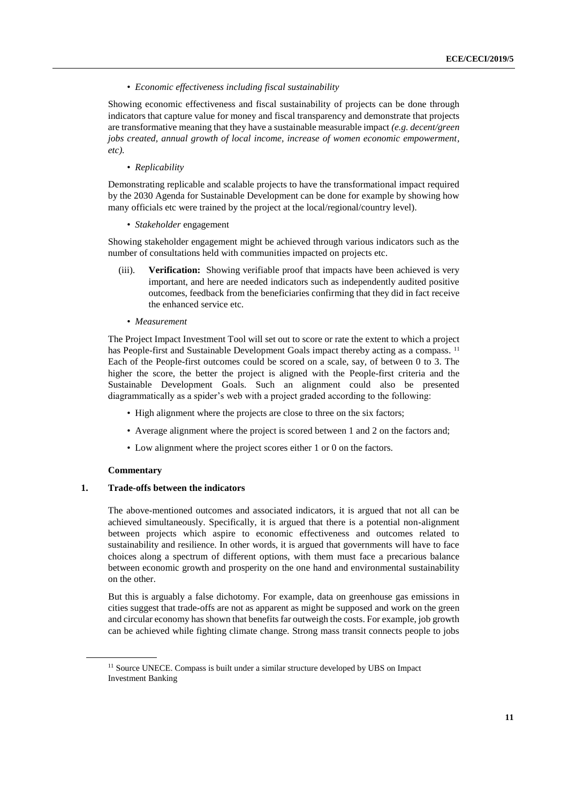• *Economic effectiveness including fiscal sustainability*

Showing economic effectiveness and fiscal sustainability of projects can be done through indicators that capture value for money and fiscal transparency and demonstrate that projects are transformative meaning that they have a sustainable measurable impact *(e.g. decent/green jobs created, annual growth of local income, increase of women economic empowerment, etc).*

• *Replicability*

Demonstrating replicable and scalable projects to have the transformational impact required by the 2030 Agenda for Sustainable Development can be done for example by showing how many officials etc were trained by the project at the local/regional/country level).

• *Stakeholder* engagement

Showing stakeholder engagement might be achieved through various indicators such as the number of consultations held with communities impacted on projects etc.

- (iii). **Verification:** Showing verifiable proof that impacts have been achieved is very important, and here are needed indicators such as independently audited positive outcomes, feedback from the beneficiaries confirming that they did in fact receive the enhanced service etc.
	- *Measurement*

The Project Impact Investment Tool will set out to score or rate the extent to which a project has People-first and Sustainable Development Goals impact thereby acting as a compass.<sup>11</sup> Each of the People-first outcomes could be scored on a scale, say, of between 0 to 3. The higher the score, the better the project is aligned with the People-first criteria and the Sustainable Development Goals. Such an alignment could also be presented diagrammatically as a spider's web with a project graded according to the following:

- High alignment where the projects are close to three on the six factors;
- Average alignment where the project is scored between 1 and 2 on the factors and;
- Low alignment where the project scores either 1 or 0 on the factors.

#### **Commentary**

# **1. Trade-offs between the indicators**

The above-mentioned outcomes and associated indicators, it is argued that not all can be achieved simultaneously. Specifically, it is argued that there is a potential non-alignment between projects which aspire to economic effectiveness and outcomes related to sustainability and resilience. In other words, it is argued that governments will have to face choices along a spectrum of different options, with them must face a precarious balance between economic growth and prosperity on the one hand and environmental sustainability on the other.

But this is arguably a false dichotomy. For example, data on greenhouse gas emissions in cities suggest that trade-offs are not as apparent as might be supposed and work on the green and circular economy has shown that benefits far outweigh the costs. For example, job growth can be achieved while fighting climate change. Strong mass transit connects people to jobs

<sup>&</sup>lt;sup>11</sup> Source UNECE. Compass is built under a similar structure developed by UBS on Impact Investment Banking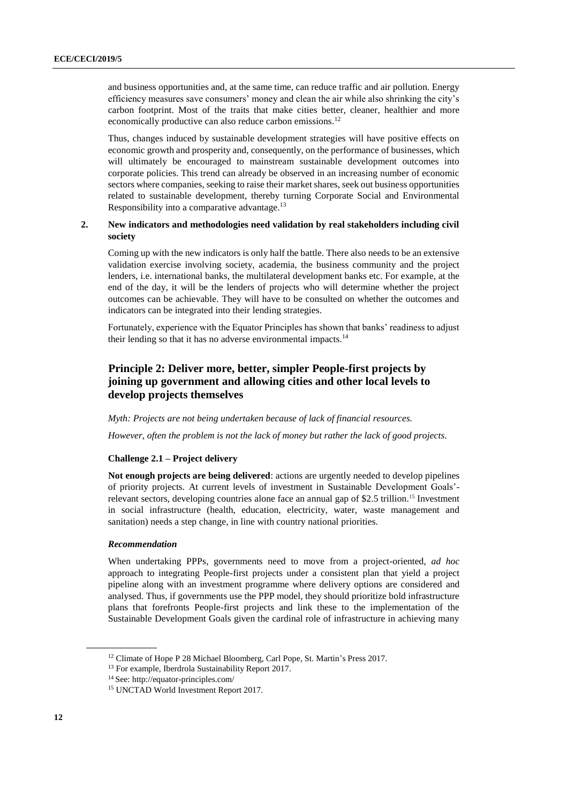and business opportunities and, at the same time, can reduce traffic and air pollution. Energy efficiency measures save consumers' money and clean the air while also shrinking the city's carbon footprint. Most of the traits that make cities better, cleaner, healthier and more economically productive can also reduce carbon emissions.<sup>12</sup>

Thus, changes induced by sustainable development strategies will have positive effects on economic growth and prosperity and, consequently, on the performance of businesses, which will ultimately be encouraged to mainstream sustainable development outcomes into corporate policies. This trend can already be observed in an increasing number of economic sectors where companies, seeking to raise their market shares, seek out business opportunities related to sustainable development, thereby turning Corporate Social and Environmental Responsibility into a comparative advantage.<sup>13</sup>

# **2. New indicators and methodologies need validation by real stakeholders including civil society**

Coming up with the new indicators is only half the battle. There also needs to be an extensive validation exercise involving society, academia, the business community and the project lenders, i.e. international banks, the multilateral development banks etc. For example, at the end of the day, it will be the lenders of projects who will determine whether the project outcomes can be achievable. They will have to be consulted on whether the outcomes and indicators can be integrated into their lending strategies.

Fortunately, experience with the Equator Principles has shown that banks' readiness to adjust their lending so that it has no adverse environmental impacts.<sup>14</sup>

# <span id="page-11-0"></span>**Principle 2: Deliver more, better, simpler People-first projects by joining up government and allowing cities and other local levels to develop projects themselves**

## *Myth: Projects are not being undertaken because of lack of financial resources.*

*However, often the problem is not the lack of money but rather the lack of good projects.*

# **Challenge 2.1 – Project delivery**

**Not enough projects are being delivered**: actions are urgently needed to develop pipelines of priority projects. At current levels of investment in Sustainable Development Goals' relevant sectors, developing countries alone face an annual gap of \$2.5 trillion. <sup>15</sup> Investment in social infrastructure (health, education, electricity, water, waste management and sanitation) needs a step change, in line with country national priorities.

# *Recommendation*

When undertaking PPPs, governments need to move from a project-oriented, *ad hoc* approach to integrating People-first projects under a consistent plan that yield a project pipeline along with an investment programme where delivery options are considered and analysed. Thus, if governments use the PPP model, they should prioritize bold infrastructure plans that forefronts People-first projects and link these to the implementation of the Sustainable Development Goals given the cardinal role of infrastructure in achieving many

<sup>&</sup>lt;sup>12</sup> Climate of Hope P 28 Michael Bloomberg, Carl Pope, St. Martin's Press 2017.

<sup>&</sup>lt;sup>13</sup> For example, [Iberdrola Sustainability Report 2017.](https://www.iberdrola.com/wcorp/gc/prod/en_US/corporativos/docs/IB_Sustainability_Report.pdf)

<sup>14</sup> See[: http://equator-principles.com/](http://equator-principles.com/)

<sup>15</sup> UNCTAD World Investment Report 2017.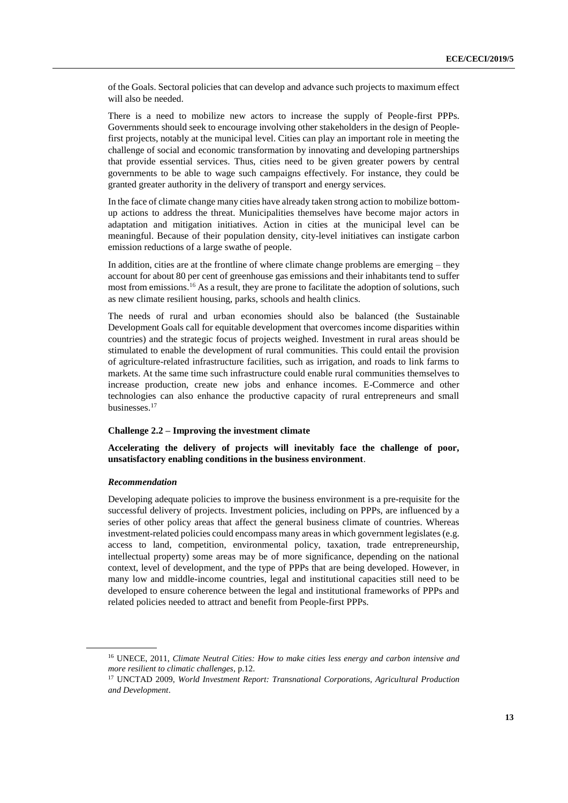of the Goals. Sectoral policies that can develop and advance such projects to maximum effect will also be needed.

There is a need to mobilize new actors to increase the supply of People-first PPPs. Governments should seek to encourage involving other stakeholders in the design of Peoplefirst projects, notably at the municipal level. Cities can play an important role in meeting the challenge of social and economic transformation by innovating and developing partnerships that provide essential services. Thus, cities need to be given greater powers by central governments to be able to wage such campaigns effectively. For instance, they could be granted greater authority in the delivery of transport and energy services.

In the face of climate change many cities have already taken strong action to mobilize bottomup actions to address the threat. Municipalities themselves have become major actors in adaptation and mitigation initiatives. Action in cities at the municipal level can be meaningful. Because of their population density, city-level initiatives can instigate carbon emission reductions of a large swathe of people.

In addition, cities are at the frontline of where climate change problems are emerging – they account for about 80 per cent of greenhouse gas emissions and their inhabitants tend to suffer most from emissions.<sup>16</sup> As a result, they are prone to facilitate the adoption of solutions, such as new climate resilient housing, parks, schools and health clinics.

The needs of rural and urban economies should also be balanced (the Sustainable Development Goals call for equitable development that overcomes income disparities within countries) and the strategic focus of projects weighed. Investment in rural areas should be stimulated to enable the development of rural communities. This could entail the provision of agriculture-related infrastructure facilities, such as irrigation, and roads to link farms to markets. At the same time such infrastructure could enable rural communities themselves to increase production, create new jobs and enhance incomes. E-Commerce and other technologies can also enhance the productive capacity of rural entrepreneurs and small businesses.<sup>17</sup>

## **Challenge 2.2 – Improving the investment climate**

**Accelerating the delivery of projects will inevitably face the challenge of poor, unsatisfactory enabling conditions in the business environment**.

## *Recommendation*

Developing adequate policies to improve the business environment is a pre-requisite for the successful delivery of projects. Investment policies, including on PPPs, are influenced by a series of other policy areas that affect the general business climate of countries. Whereas investment-related policies could encompass many areas in which government legislates (e.g. access to land, competition, environmental policy, taxation, trade entrepreneurship, intellectual property) some areas may be of more significance, depending on the national context, level of development, and the type of PPPs that are being developed. However, in many low and middle-income countries, legal and institutional capacities still need to be developed to ensure coherence between the legal and institutional frameworks of PPPs and related policies needed to attract and benefit from People-first PPPs.

<sup>16</sup> UNECE, 2011, *Climate Neutral Cities: How to make cities less energy and carbon intensive and more resilient to climatic challenges,* p.12.

<sup>17</sup> UNCTAD 2009, *World Investment Report: Transnational Corporations, Agricultural Production and Development*.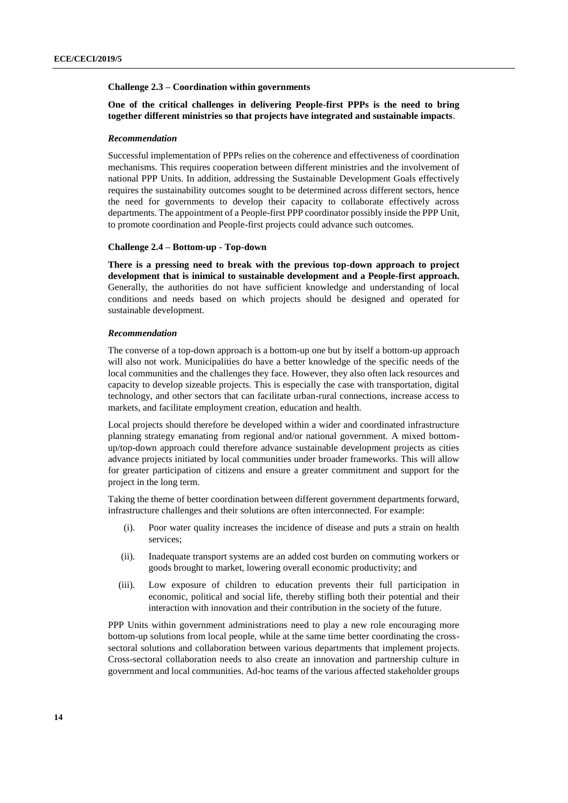### **Challenge 2.3 – Coordination within governments**

# **One of the critical challenges in delivering People-first PPPs is the need to bring together different ministries so that projects have integrated and sustainable impacts**.

#### *Recommendation*

Successful implementation of PPPs relies on the coherence and effectiveness of coordination mechanisms. This requires cooperation between different ministries and the involvement of national PPP Units. In addition, addressing the Sustainable Development Goals effectively requires the sustainability outcomes sought to be determined across different sectors, hence the need for governments to develop their capacity to collaborate effectively across departments. The appointment of a People-first PPP coordinator possibly inside the PPP Unit, to promote coordination and People-first projects could advance such outcomes.

# **Challenge 2.4 – Bottom-up - Top-down**

**There is a pressing need to break with the previous top-down approach to project development that is inimical to sustainable development and a People-first approach.** Generally, the authorities do not have sufficient knowledge and understanding of local conditions and needs based on which projects should be designed and operated for sustainable development.

# *Recommendation*

The converse of a top-down approach is a bottom-up one but by itself a bottom-up approach will also not work. Municipalities do have a better knowledge of the specific needs of the local communities and the challenges they face. However, they also often lack resources and capacity to develop sizeable projects. This is especially the case with transportation, digital technology, and other sectors that can facilitate urban-rural connections, increase access to markets, and facilitate employment creation, education and health.

Local projects should therefore be developed within a wider and coordinated infrastructure planning strategy emanating from regional and/or national government. A mixed bottomup/top-down approach could therefore advance sustainable development projects as cities advance projects initiated by local communities under broader frameworks. This will allow for greater participation of citizens and ensure a greater commitment and support for the project in the long term.

Taking the theme of better coordination between different government departments forward, infrastructure challenges and their solutions are often interconnected. For example:

- (i). Poor water quality increases the incidence of disease and puts a strain on health services;
- (ii). Inadequate transport systems are an added cost burden on commuting workers or goods brought to market, lowering overall economic productivity; and
- (iii). Low exposure of children to education prevents their full participation in economic, political and social life, thereby stifling both their potential and their interaction with innovation and their contribution in the society of the future.

PPP Units within government administrations need to play a new role encouraging more bottom-up solutions from local people, while at the same time better coordinating the crosssectoral solutions and collaboration between various departments that implement projects. Cross-sectoral collaboration needs to also create an innovation and partnership culture in government and local communities. Ad-hoc teams of the various affected stakeholder groups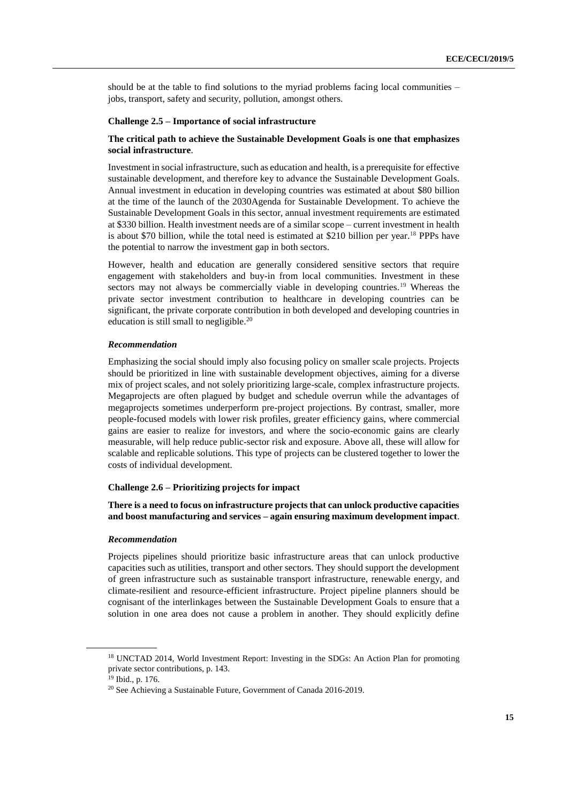should be at the table to find solutions to the myriad problems facing local communities – jobs, transport, safety and security, pollution, amongst others.

### **Challenge 2.5 – Importance of social infrastructure**

# **The critical path to achieve the Sustainable Development Goals is one that emphasizes social infrastructure**.

Investment in social infrastructure, such as education and health, is a prerequisite for effective sustainable development, and therefore key to advance the Sustainable Development Goals. Annual investment in education in developing countries was estimated at about \$80 billion at the time of the launch of the 2030Agenda for Sustainable Development. To achieve the Sustainable Development Goals in this sector, annual investment requirements are estimated at \$330 billion. Health investment needs are of a similar scope – current investment in health is about \$70 billion, while the total need is estimated at \$210 billion per year.<sup>18</sup> PPPs have the potential to narrow the investment gap in both sectors.

However, health and education are generally considered sensitive sectors that require engagement with stakeholders and buy-in from local communities. Investment in these sectors may not always be commercially viable in developing countries.<sup>19</sup> Whereas the private sector investment contribution to healthcare in developing countries can be significant, the private corporate contribution in both developed and developing countries in education is still small to negligible.<sup>20</sup>

#### *Recommendation*

Emphasizing the social should imply also focusing policy on smaller scale projects. Projects should be prioritized in line with sustainable development objectives, aiming for a diverse mix of project scales, and not solely prioritizing large-scale, complex infrastructure projects. Megaprojects are often plagued by budget and schedule overrun while the advantages of megaprojects sometimes underperform pre-project projections. By contrast, smaller, more people-focused models with lower risk profiles, greater efficiency gains, where commercial gains are easier to realize for investors, and where the socio-economic gains are clearly measurable, will help reduce public-sector risk and exposure. Above all, these will allow for scalable and replicable solutions. This type of projects can be clustered together to lower the costs of individual development.

## **Challenge 2.6 – Prioritizing projects for impact**

**There is a need to focus on infrastructure projects that can unlock productive capacities and boost manufacturing and services – again ensuring maximum development impact**.

#### *Recommendation*

Projects pipelines should prioritize basic infrastructure areas that can unlock productive capacities such as utilities, transport and other sectors. They should support the development of green infrastructure such as sustainable transport infrastructure, renewable energy, and climate-resilient and resource-efficient infrastructure. Project pipeline planners should be cognisant of the interlinkages between the Sustainable Development Goals to ensure that a solution in one area does not cause a problem in another. They should explicitly define

<sup>18</sup> UNCTAD 2014, World Investment Report: Investing in the SDGs: An Action Plan for promoting private sector contributions, p. 143.

<sup>19</sup> Ibid., p. 176.

<sup>20</sup> See Achieving a Sustainable Future, Government of Canada 2016-2019.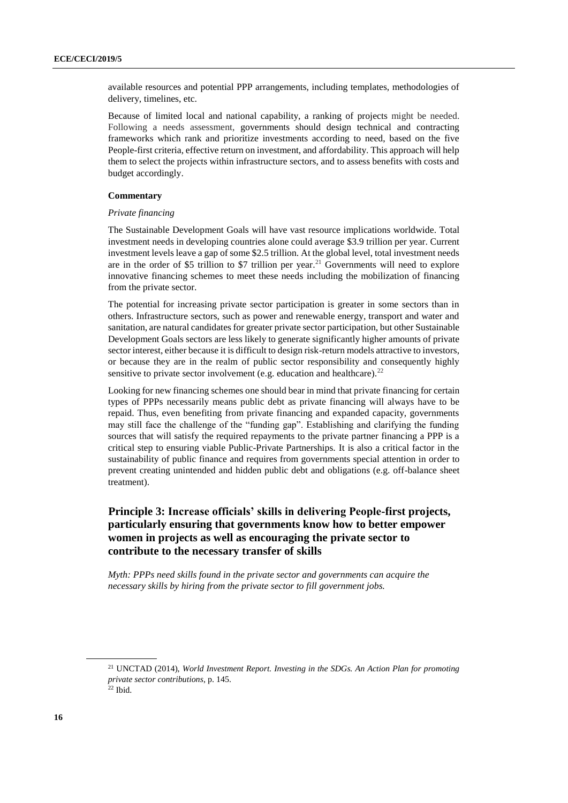available resources and potential PPP arrangements, including templates, methodologies of delivery, timelines, etc.

Because of limited local and national capability, a ranking of projects might be needed. Following a needs assessment, governments should design technical and contracting frameworks which rank and prioritize investments according to need, based on the five People-first criteria, effective return on investment, and affordability. This approach will help them to select the projects within infrastructure sectors, and to assess benefits with costs and budget accordingly.

# **Commentary**

# *Private financing*

The Sustainable Development Goals will have vast resource implications worldwide. Total investment needs in developing countries alone could average \$3.9 trillion per year. Current investment levels leave a gap of some \$2.5 trillion. At the global level, total investment needs are in the order of \$5 trillion to \$7 trillion per year.<sup>21</sup> Governments will need to explore innovative financing schemes to meet these needs including the mobilization of financing from the private sector.

The potential for increasing private sector participation is greater in some sectors than in others. Infrastructure sectors, such as power and renewable energy, transport and water and sanitation, are natural candidates for greater private sector participation, but other Sustainable Development Goals sectors are less likely to generate significantly higher amounts of private sector interest, either because it is difficult to design risk-return models attractive to investors, or because they are in the realm of public sector responsibility and consequently highly sensitive to private sector involvement (e.g. education and healthcare). $^{22}$ 

Looking for new financing schemes one should bear in mind that private financing for certain types of PPPs necessarily means public debt as private financing will always have to be repaid. Thus, even benefiting from private financing and expanded capacity, governments may still face the challenge of the "funding gap". Establishing and clarifying the funding sources that will satisfy the required repayments to the private partner financing a PPP is a critical step to ensuring viable Public-Private Partnerships. It is also a critical factor in the sustainability of public finance and requires from governments special attention in order to prevent creating unintended and hidden public debt and obligations (e.g. off-balance sheet treatment).

# <span id="page-15-0"></span>**Principle 3: Increase officials' skills in delivering People-first projects, particularly ensuring that governments know how to better empower women in projects as well as encouraging the private sector to contribute to the necessary transfer of skills**

*Myth: PPPs need skills found in the private sector and governments can acquire the necessary skills by hiring from the private sector to fill government jobs.* 

<sup>21</sup> UNCTAD (2014), *World Investment Report. Investing in the SDGs. An Action Plan for promoting private sector contributions*, p. 145.  $22$  Ibid.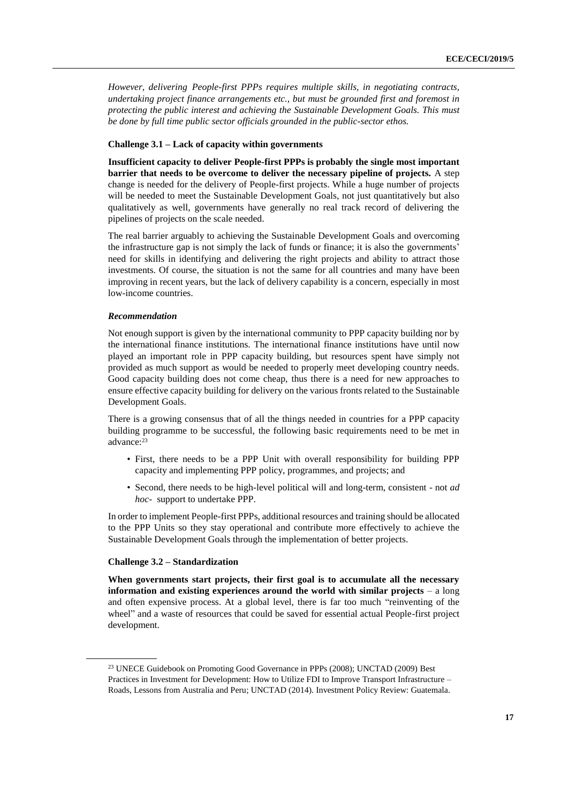*However, delivering People-first PPPs requires multiple skills, in negotiating contracts, undertaking project finance arrangements etc., but must be grounded first and foremost in protecting the public interest and achieving the Sustainable Development Goals. This must be done by full time public sector officials grounded in the public-sector ethos.*

## **Challenge 3.1 – Lack of capacity within governments**

**Insufficient capacity to deliver People-first PPPs is probably the single most important barrier that needs to be overcome to deliver the necessary pipeline of projects.** A step change is needed for the delivery of People-first projects. While a huge number of projects will be needed to meet the Sustainable Development Goals, not just quantitatively but also qualitatively as well, governments have generally no real track record of delivering the pipelines of projects on the scale needed.

The real barrier arguably to achieving the Sustainable Development Goals and overcoming the infrastructure gap is not simply the lack of funds or finance; it is also the governments' need for skills in identifying and delivering the right projects and ability to attract those investments. Of course, the situation is not the same for all countries and many have been improving in recent years, but the lack of delivery capability is a concern, especially in most low-income countries.

## *Recommendation*

Not enough support is given by the international community to PPP capacity building nor by the international finance institutions. The international finance institutions have until now played an important role in PPP capacity building, but resources spent have simply not provided as much support as would be needed to properly meet developing country needs. Good capacity building does not come cheap, thus there is a need for new approaches to ensure effective capacity building for delivery on the various fronts related to the Sustainable Development Goals.

There is a growing consensus that of all the things needed in countries for a PPP capacity building programme to be successful, the following basic requirements need to be met in advance:<sup>23</sup>

- First, there needs to be a PPP Unit with overall responsibility for building PPP capacity and implementing PPP policy, programmes, and projects; and
- Second, there needs to be high-level political will and long-term, consistent not *ad hoc-* support to undertake PPP.

In order to implement People-first PPPs, additional resources and training should be allocated to the PPP Units so they stay operational and contribute more effectively to achieve the Sustainable Development Goals through the implementation of better projects.

### **Challenge 3.2 – Standardization**

**When governments start projects, their first goal is to accumulate all the necessary information and existing experiences around the world with similar projects** – a long and often expensive process. At a global level, there is far too much "reinventing of the wheel" and a waste of resources that could be saved for essential actual People-first project development.

<sup>23</sup> UNECE Guidebook on Promoting Good Governance in PPPs (2008); UNCTAD (2009) Best Practices in Investment for Development: How to Utilize FDI to Improve Transport Infrastructure – Roads, Lessons from Australia and Peru; UNCTAD (2014). Investment Policy Review: Guatemala.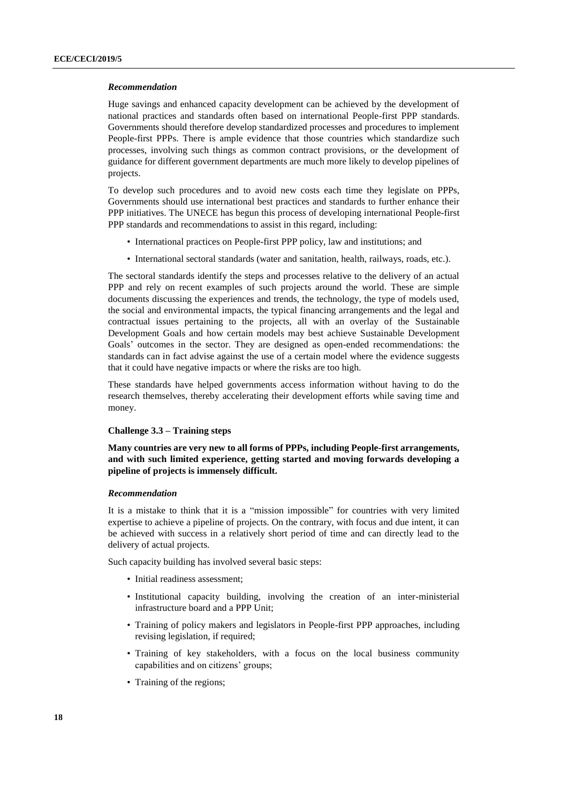## *Recommendation*

Huge savings and enhanced capacity development can be achieved by the development of national practices and standards often based on international People-first PPP standards. Governments should therefore develop standardized processes and procedures to implement People-first PPPs. There is ample evidence that those countries which standardize such processes, involving such things as common contract provisions, or the development of guidance for different government departments are much more likely to develop pipelines of projects.

To develop such procedures and to avoid new costs each time they legislate on PPPs, Governments should use international best practices and standards to further enhance their PPP initiatives. The UNECE has begun this process of developing international People-first PPP standards and recommendations to assist in this regard, including:

- International practices on People-first PPP policy, law and institutions; and
- International sectoral standards (water and sanitation, health, railways, roads, etc.).

The sectoral standards identify the steps and processes relative to the delivery of an actual PPP and rely on recent examples of such projects around the world. These are simple documents discussing the experiences and trends, the technology, the type of models used, the social and environmental impacts, the typical financing arrangements and the legal and contractual issues pertaining to the projects, all with an overlay of the Sustainable Development Goals and how certain models may best achieve Sustainable Development Goals' outcomes in the sector. They are designed as open-ended recommendations: the standards can in fact advise against the use of a certain model where the evidence suggests that it could have negative impacts or where the risks are too high.

These standards have helped governments access information without having to do the research themselves, thereby accelerating their development efforts while saving time and money.

#### **Challenge 3.3 – Training steps**

**Many countries are very new to all forms of PPPs, including People-first arrangements, and with such limited experience, getting started and moving forwards developing a pipeline of projects is immensely difficult.**

#### *Recommendation*

It is a mistake to think that it is a "mission impossible" for countries with very limited expertise to achieve a pipeline of projects. On the contrary, with focus and due intent, it can be achieved with success in a relatively short period of time and can directly lead to the delivery of actual projects.

Such capacity building has involved several basic steps:

- Initial readiness assessment;
- Institutional capacity building, involving the creation of an inter-ministerial infrastructure board and a PPP Unit;
- Training of policy makers and legislators in People-first PPP approaches, including revising legislation, if required;
- Training of key stakeholders, with a focus on the local business community capabilities and on citizens' groups;
- Training of the regions;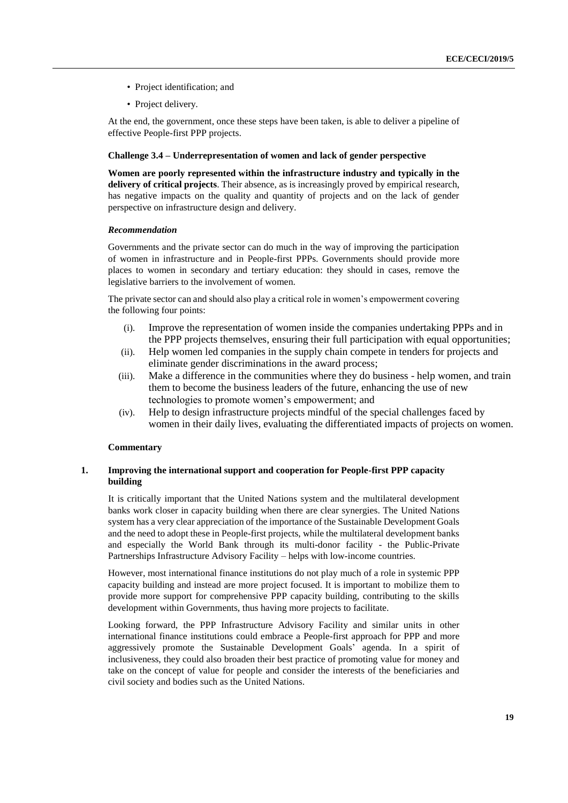- Project identification; and
- Project delivery.

At the end, the government, once these steps have been taken, is able to deliver a pipeline of effective People-first PPP projects.

# **Challenge 3.4 – Underrepresentation of women and lack of gender perspective**

**Women are poorly represented within the infrastructure industry and typically in the delivery of critical projects**. Their absence, as is increasingly proved by empirical research, has negative impacts on the quality and quantity of projects and on the lack of gender perspective on infrastructure design and delivery.

# *Recommendation*

Governments and the private sector can do much in the way of improving the participation of women in infrastructure and in People-first PPPs. Governments should provide more places to women in secondary and tertiary education: they should in cases, remove the legislative barriers to the involvement of women.

The private sector can and should also play a critical role in women's empowerment covering the following four points:

- (i). Improve the representation of women inside the companies undertaking PPPs and in the PPP projects themselves, ensuring their full participation with equal opportunities;
- (ii). Help women led companies in the supply chain compete in tenders for projects and eliminate gender discriminations in the award process;
- (iii). Make a difference in the communities where they do business help women, and train them to become the business leaders of the future, enhancing the use of new technologies to promote women's empowerment; and
- (iv). Help to design infrastructure projects mindful of the special challenges faced by women in their daily lives, evaluating the differentiated impacts of projects on women.

# **Commentary**

# **1. Improving the international support and cooperation for People-first PPP capacity building**

It is critically important that the United Nations system and the multilateral development banks work closer in capacity building when there are clear synergies. The United Nations system has a very clear appreciation of the importance of the Sustainable Development Goals and the need to adopt these in People-first projects, while the multilateral development banks and especially the World Bank through its multi-donor facility - the Public-Private Partnerships Infrastructure Advisory Facility – helps with low-income countries.

However, most international finance institutions do not play much of a role in systemic PPP capacity building and instead are more project focused. It is important to mobilize them to provide more support for comprehensive PPP capacity building, contributing to the skills development within Governments, thus having more projects to facilitate.

Looking forward, the PPP Infrastructure Advisory Facility and similar units in other international finance institutions could embrace a People-first approach for PPP and more aggressively promote the Sustainable Development Goals' agenda. In a spirit of inclusiveness, they could also broaden their best practice of promoting value for money and take on the concept of value for people and consider the interests of the beneficiaries and civil society and bodies such as the United Nations.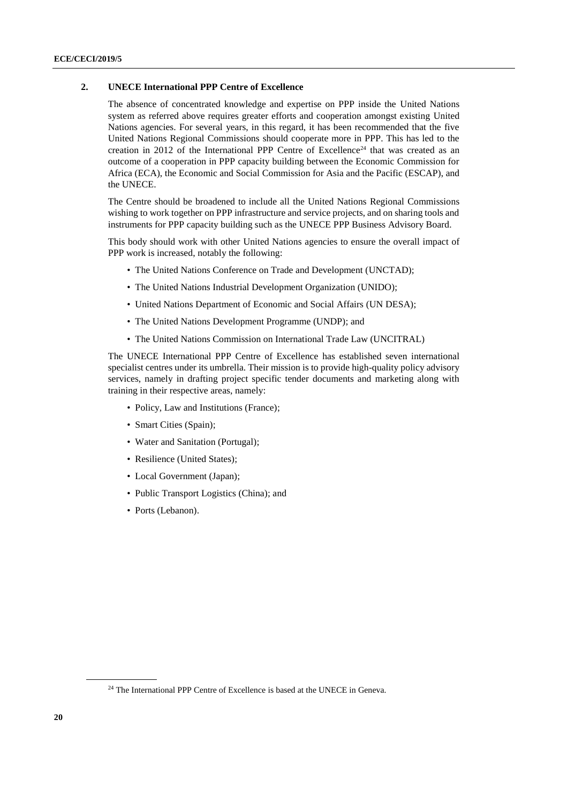# **2. UNECE International PPP Centre of Excellence**

The absence of concentrated knowledge and expertise on PPP inside the United Nations system as referred above requires greater efforts and cooperation amongst existing United Nations agencies. For several years, in this regard, it has been recommended that the five United Nations Regional Commissions should cooperate more in PPP. This has led to the creation in 2012 of the International PPP Centre of Excellence<sup>24</sup> that was created as an outcome of a cooperation in PPP capacity building between the Economic Commission for Africa (ECA), the Economic and Social Commission for Asia and the Pacific (ESCAP), and the UNECE.

The Centre should be broadened to include all the United Nations Regional Commissions wishing to work together on PPP infrastructure and service projects, and on sharing tools and instruments for PPP capacity building such as the UNECE PPP Business Advisory Board.

This body should work with other United Nations agencies to ensure the overall impact of PPP work is increased, notably the following:

- The United Nations Conference on Trade and Development (UNCTAD);
- The United Nations Industrial Development Organization (UNIDO);
- United Nations Department of Economic and Social Affairs (UN DESA);
- The United Nations Development Programme (UNDP); and
- The United Nations Commission on International Trade Law (UNCITRAL)

The UNECE International PPP Centre of Excellence has established seven international specialist centres under its umbrella. Their mission is to provide high-quality policy advisory services, namely in drafting project specific tender documents and marketing along with training in their respective areas, namely:

- Policy, Law and Institutions (France);
- Smart Cities (Spain);
- Water and Sanitation (Portugal);
- Resilience (United States);
- Local Government (Japan);
- Public Transport Logistics (China); and
- <span id="page-19-0"></span>• Ports (Lebanon).

<sup>&</sup>lt;sup>24</sup> The International PPP Centre of Excellence is based at the UNECE in Geneva.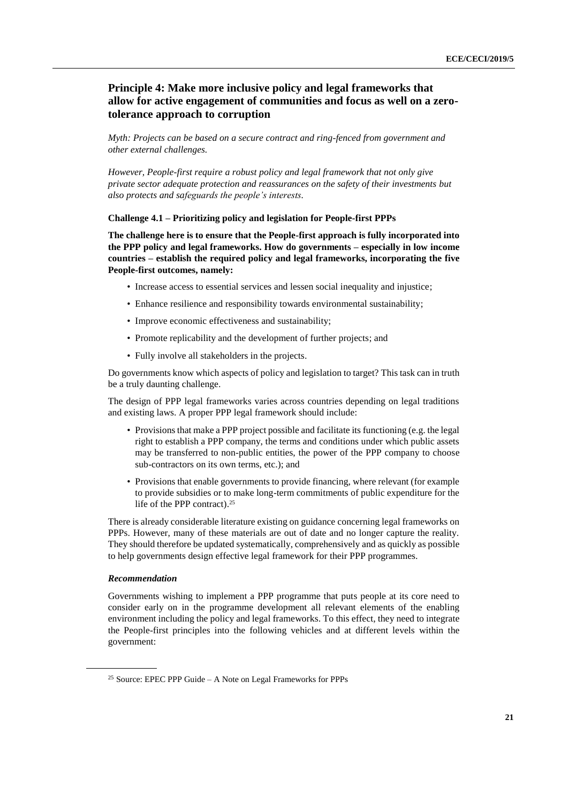# **Principle 4: Make more inclusive policy and legal frameworks that allow for active engagement of communities and focus as well on a zerotolerance approach to corruption**

*Myth: Projects can be based on a secure contract and ring-fenced from government and other external challenges.* 

*However, People-first require a robust policy and legal framework that not only give private sector adequate protection and reassurances on the safety of their investments but also protects and safeguards the people's interests.*

## **Challenge 4.1 – Prioritizing policy and legislation for People-first PPPs**

**The challenge here is to ensure that the People-first approach is fully incorporated into the PPP policy and legal frameworks. How do governments – especially in low income countries – establish the required policy and legal frameworks, incorporating the five People-first outcomes, namely:**

- Increase access to essential services and lessen social inequality and injustice;
- Enhance resilience and responsibility towards environmental sustainability;
- Improve economic effectiveness and sustainability;
- Promote replicability and the development of further projects; and
- Fully involve all stakeholders in the projects.

Do governments know which aspects of policy and legislation to target? This task can in truth be a truly daunting challenge.

The design of PPP legal frameworks varies across countries depending on legal traditions and existing laws. A proper PPP legal framework should include:

- Provisions that make a PPP project possible and facilitate its functioning (e.g. the legal right to establish a PPP company, the terms and conditions under which public assets may be transferred to non-public entities, the power of the PPP company to choose sub-contractors on its own terms, etc.); and
- Provisions that enable governments to provide financing, where relevant (for example to provide subsidies or to make long-term commitments of public expenditure for the life of the PPP contract). 25

There is already considerable literature existing on guidance concerning legal frameworks on PPPs. However, many of these materials are out of date and no longer capture the reality. They should therefore be updated systematically, comprehensively and as quickly as possible to help governments design effective legal framework for their PPP programmes.

# *Recommendation*

Governments wishing to implement a PPP programme that puts people at its core need to consider early on in the programme development all relevant elements of the enabling environment including the policy and legal frameworks. To this effect, they need to integrate the People-first principles into the following vehicles and at different levels within the government:

 $25$  Source: EPEC PPP Guide – A Note on Legal Frameworks for PPPs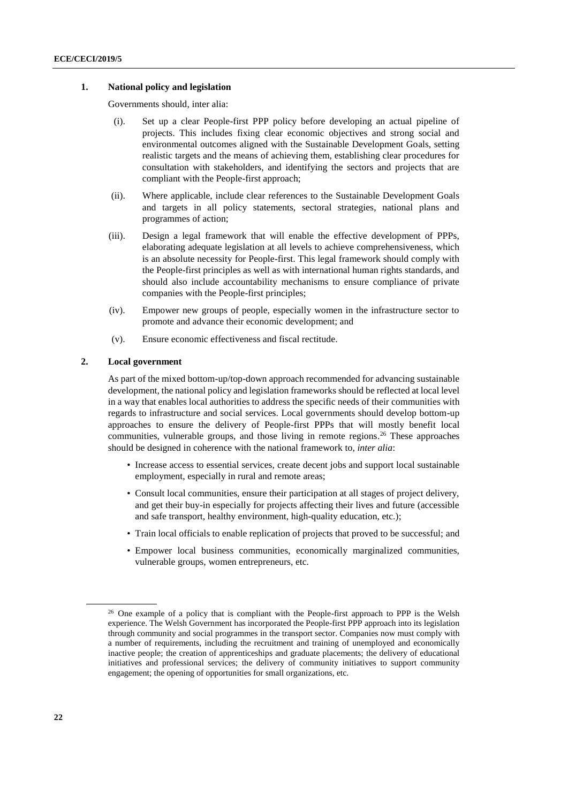## **1. National policy and legislation**

Governments should, inter alia:

- (i). Set up a clear People-first PPP policy before developing an actual pipeline of projects. This includes fixing clear economic objectives and strong social and environmental outcomes aligned with the Sustainable Development Goals, setting realistic targets and the means of achieving them, establishing clear procedures for consultation with stakeholders, and identifying the sectors and projects that are compliant with the People-first approach;
- (ii). Where applicable, include clear references to the Sustainable Development Goals and targets in all policy statements, sectoral strategies, national plans and programmes of action;
- (iii). Design a legal framework that will enable the effective development of PPPs, elaborating adequate legislation at all levels to achieve comprehensiveness, which is an absolute necessity for People-first. This legal framework should comply with the People-first principles as well as with international human rights standards, and should also include accountability mechanisms to ensure compliance of private companies with the People-first principles;
- (iv). Empower new groups of people, especially women in the infrastructure sector to promote and advance their economic development; and
- (v). Ensure economic effectiveness and fiscal rectitude.

# **2. Local government**

As part of the mixed bottom-up/top-down approach recommended for advancing sustainable development, the national policy and legislation frameworks should be reflected at local level in a way that enables local authorities to address the specific needs of their communities with regards to infrastructure and social services. Local governments should develop bottom-up approaches to ensure the delivery of People-first PPPs that will mostly benefit local communities, vulnerable groups, and those living in remote regions. <sup>26</sup> These approaches should be designed in coherence with the national framework to, *inter alia*:

- Increase access to essential services, create decent jobs and support local sustainable employment, especially in rural and remote areas;
- Consult local communities, ensure their participation at all stages of project delivery, and get their buy-in especially for projects affecting their lives and future (accessible and safe transport, healthy environment, high-quality education, etc.);
- Train local officials to enable replication of projects that proved to be successful; and
- Empower local business communities, economically marginalized communities, vulnerable groups, women entrepreneurs, etc.

 $26$  One example of a policy that is compliant with the People-first approach to PPP is the Welsh experience. The Welsh Government has incorporated the People-first PPP approach into its legislation through community and social programmes in the transport sector. Companies now must comply with a number of requirements, including the recruitment and training of unemployed and economically inactive people; the creation of apprenticeships and graduate placements; the delivery of educational initiatives and professional services; the delivery of community initiatives to support community engagement; the opening of opportunities for small organizations, etc.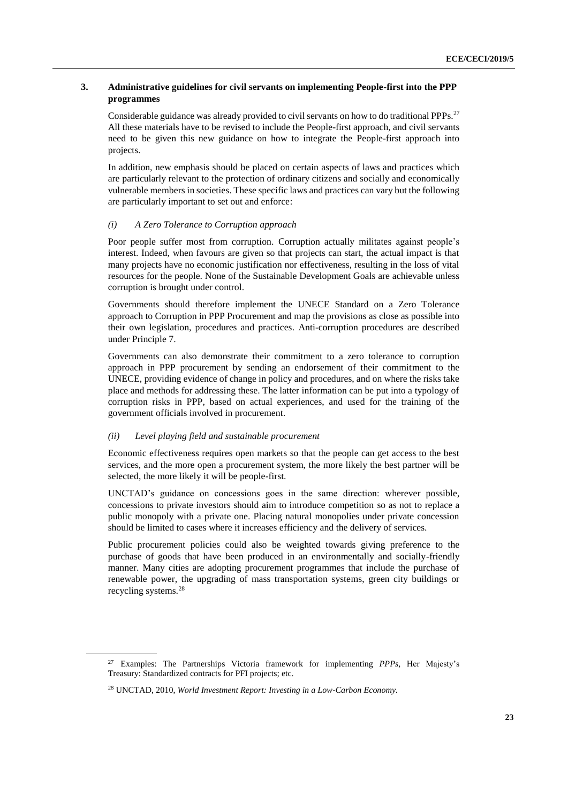# **3. Administrative guidelines for civil servants on implementing People-first into the PPP programmes**

Considerable guidance was already provided to civil servants on how to do traditional PPPs.<sup>27</sup> All these materials have to be revised to include the People-first approach, and civil servants need to be given this new guidance on how to integrate the People-first approach into projects.

In addition, new emphasis should be placed on certain aspects of laws and practices which are particularly relevant to the protection of ordinary citizens and socially and economically vulnerable members in societies. These specific laws and practices can vary but the following are particularly important to set out and enforce:

## *(i) A Zero Tolerance to Corruption approach*

Poor people suffer most from corruption. Corruption actually militates against people's interest. Indeed, when favours are given so that projects can start, the actual impact is that many projects have no economic justification nor effectiveness, resulting in the loss of vital resources for the people. None of the Sustainable Development Goals are achievable unless corruption is brought under control.

Governments should therefore implement the UNECE Standard on a Zero Tolerance approach to Corruption in PPP Procurement and map the provisions as close as possible into their own legislation, procedures and practices. Anti-corruption procedures are described under Principle 7.

Governments can also demonstrate their commitment to a zero tolerance to corruption approach in PPP procurement by sending an endorsement of their commitment to the UNECE, providing evidence of change in policy and procedures, and on where the risks take place and methods for addressing these. The latter information can be put into a typology of corruption risks in PPP, based on actual experiences, and used for the training of the government officials involved in procurement.

## *(ii) Level playing field and sustainable procurement*

Economic effectiveness requires open markets so that the people can get access to the best services, and the more open a procurement system, the more likely the best partner will be selected, the more likely it will be people-first.

UNCTAD's guidance on concessions goes in the same direction: wherever possible, concessions to private investors should aim to introduce competition so as not to replace a public monopoly with a private one. Placing natural monopolies under private concession should be limited to cases where it increases efficiency and the delivery of services.

Public procurement policies could also be weighted towards giving preference to the purchase of goods that have been produced in an environmentally and socially-friendly manner. Many cities are adopting procurement programmes that include the purchase of renewable power, the upgrading of mass transportation systems, green city buildings or recycling systems.<sup>28</sup>

<sup>27</sup> Examples: The Partnerships Victoria framework for implementing *PPPs,* Her Majesty's Treasury: Standardized contracts for PFI projects; etc.

<sup>28</sup> UNCTAD, 2010, *World Investment Report: Investing in a Low-Carbon Economy.*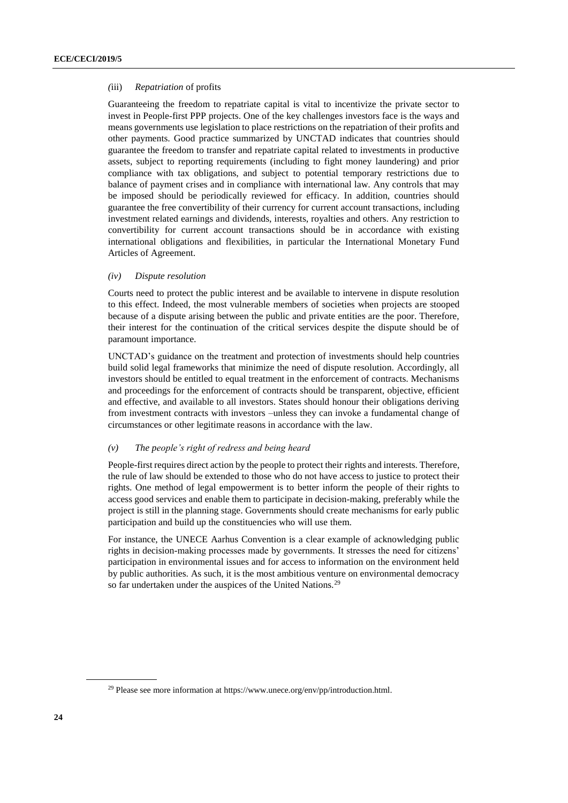#### *(*iii) *Repatriation* of profits

Guaranteeing the freedom to repatriate capital is vital to incentivize the private sector to invest in People-first PPP projects. One of the key challenges investors face is the ways and means governments use legislation to place restrictions on the repatriation of their profits and other payments. Good practice summarized by UNCTAD indicates that countries should guarantee the freedom to transfer and repatriate capital related to investments in productive assets, subject to reporting requirements (including to fight money laundering) and prior compliance with tax obligations, and subject to potential temporary restrictions due to balance of payment crises and in compliance with international law. Any controls that may be imposed should be periodically reviewed for efficacy. In addition, countries should guarantee the free convertibility of their currency for current account transactions, including investment related earnings and dividends, interests, royalties and others. Any restriction to convertibility for current account transactions should be in accordance with existing international obligations and flexibilities, in particular the International Monetary Fund Articles of Agreement.

# *(iv) Dispute resolution*

Courts need to protect the public interest and be available to intervene in dispute resolution to this effect. Indeed, the most vulnerable members of societies when projects are stooped because of a dispute arising between the public and private entities are the poor. Therefore, their interest for the continuation of the critical services despite the dispute should be of paramount importance.

UNCTAD's guidance on the treatment and protection of investments should help countries build solid legal frameworks that minimize the need of dispute resolution. Accordingly, all investors should be entitled to equal treatment in the enforcement of contracts. Mechanisms and proceedings for the enforcement of contracts should be transparent, objective, efficient and effective, and available to all investors. States should honour their obligations deriving from investment contracts with investors –unless they can invoke a fundamental change of circumstances or other legitimate reasons in accordance with the law.

## *(v) The people's right of redress and being heard*

People-first requires direct action by the people to protect their rights and interests. Therefore, the rule of law should be extended to those who do not have access to justice to protect their rights. One method of legal empowerment is to better inform the people of their rights to access good services and enable them to participate in decision-making, preferably while the project is still in the planning stage. Governments should create mechanisms for early public participation and build up the constituencies who will use them.

<span id="page-23-0"></span>For instance, the UNECE Aarhus Convention is a clear example of acknowledging public rights in decision-making processes made by governments. It stresses the need for citizens' participation in environmental issues and for access to information on the environment held by public authorities. As such, it is the most ambitious venture on environmental democracy so far undertaken under the auspices of the United Nations.<sup>29</sup>

<sup>&</sup>lt;sup>29</sup> Please see more information at https://www.unece.org/env/pp/introduction.html.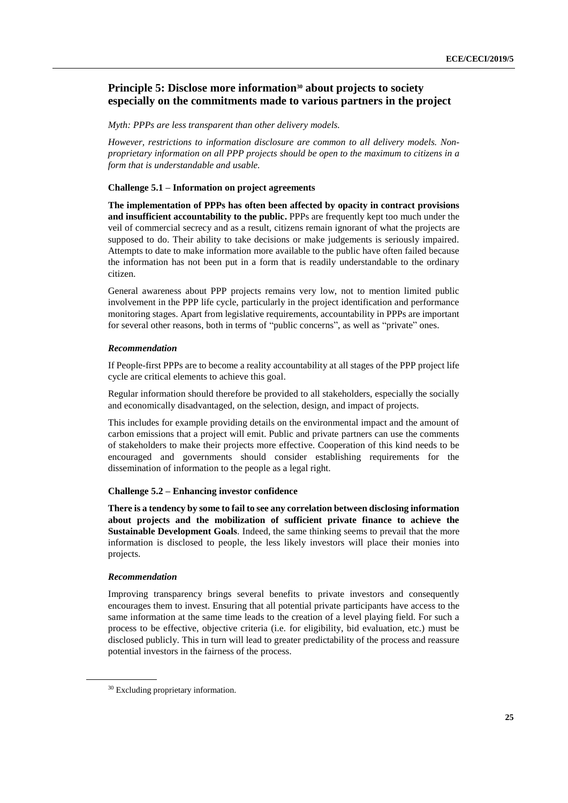# **Principle 5: Disclose more information<sup>30</sup> about projects to society especially on the commitments made to various partners in the project**

*Myth: PPPs are less transparent than other delivery models.*

*However, restrictions to information disclosure are common to all delivery models. Nonproprietary information on all PPP projects should be open to the maximum to citizens in a form that is understandable and usable.*

## **Challenge 5.1 – Information on project agreements**

**The implementation of PPPs has often been affected by opacity in contract provisions and insufficient accountability to the public.** PPPs are frequently kept too much under the veil of commercial secrecy and as a result, citizens remain ignorant of what the projects are supposed to do. Their ability to take decisions or make judgements is seriously impaired. Attempts to date to make information more available to the public have often failed because the information has not been put in a form that is readily understandable to the ordinary citizen.

General awareness about PPP projects remains very low, not to mention limited public involvement in the PPP life cycle, particularly in the project identification and performance monitoring stages. Apart from legislative requirements, accountability in PPPs are important for several other reasons, both in terms of "public concerns", as well as "private" ones.

## *Recommendation*

If People-first PPPs are to become a reality accountability at all stages of the PPP project life cycle are critical elements to achieve this goal.

Regular information should therefore be provided to all stakeholders, especially the socially and economically disadvantaged, on the selection, design, and impact of projects.

This includes for example providing details on the environmental impact and the amount of carbon emissions that a project will emit. Public and private partners can use the comments of stakeholders to make their projects more effective. Cooperation of this kind needs to be encouraged and governments should consider establishing requirements for the dissemination of information to the people as a legal right.

# **Challenge 5.2 – Enhancing investor confidence**

**There is a tendency by some to fail to see any correlation between disclosing information about projects and the mobilization of sufficient private finance to achieve the Sustainable Development Goals**. Indeed, the same thinking seems to prevail that the more information is disclosed to people, the less likely investors will place their monies into projects.

#### *Recommendation*

Improving transparency brings several benefits to private investors and consequently encourages them to invest. Ensuring that all potential private participants have access to the same information at the same time leads to the creation of a level playing field. For such a process to be effective, objective criteria (i.e. for eligibility, bid evaluation, etc.) must be disclosed publicly. This in turn will lead to greater predictability of the process and reassure potential investors in the fairness of the process.

<sup>&</sup>lt;sup>30</sup> Excluding proprietary information.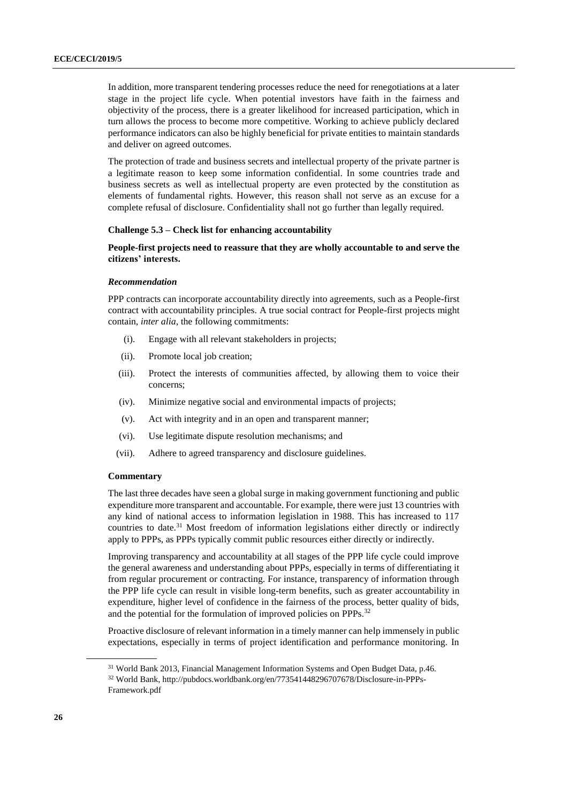In addition, more transparent tendering processes reduce the need for renegotiations at a later stage in the project life cycle. When potential investors have faith in the fairness and objectivity of the process, there is a greater likelihood for increased participation, which in turn allows the process to become more competitive. Working to achieve publicly declared performance indicators can also be highly beneficial for private entities to maintain standards and deliver on agreed outcomes.

The protection of trade and business secrets and intellectual property of the private partner is a legitimate reason to keep some information confidential. In some countries trade and business secrets as well as intellectual property are even protected by the constitution as elements of fundamental rights. However, this reason shall not serve as an excuse for a complete refusal of disclosure. Confidentiality shall not go further than legally required.

## **Challenge 5.3 – Check list for enhancing accountability**

# **People-first projects need to reassure that they are wholly accountable to and serve the citizens' interests.**

### *Recommendation*

PPP contracts can incorporate accountability directly into agreements, such as a People-first contract with accountability principles. A true social contract for People-first projects might contain, *inter alia*, the following commitments:

- (i). Engage with all relevant stakeholders in projects;
- (ii). Promote local job creation;
- (iii). Protect the interests of communities affected, by allowing them to voice their concerns;
- (iv). Minimize negative social and environmental impacts of projects;
- (v). Act with integrity and in an open and transparent manner;
- (vi). Use legitimate dispute resolution mechanisms; and
- (vii). Adhere to agreed transparency and disclosure guidelines.

## **Commentary**

The last three decades have seen a global surge in making government functioning and public expenditure more transparent and accountable. For example, there were just 13 countries with any kind of national access to information legislation in 1988. This has increased to 117 countries to date.<sup>31</sup> Most freedom of information legislations either directly or indirectly apply to PPPs, as PPPs typically commit public resources either directly or indirectly.

Improving transparency and accountability at all stages of the PPP life cycle could improve the general awareness and understanding about PPPs, especially in terms of differentiating it from regular procurement or contracting. For instance, transparency of information through the PPP life cycle can result in visible long-term benefits, such as greater accountability in expenditure, higher level of confidence in the fairness of the process, better quality of bids, and the potential for the formulation of improved policies on PPPs.<sup>32</sup>

Proactive disclosure of relevant information in a timely manner can help immensely in public expectations, especially in terms of project identification and performance monitoring. In

<sup>31</sup> World Bank 2013, Financial Management Information Systems and Open Budget Data, p.46.

<sup>32</sup> World Bank, http://pubdocs.worldbank.org/en/773541448296707678/Disclosure-in-PPPs-Framework.pdf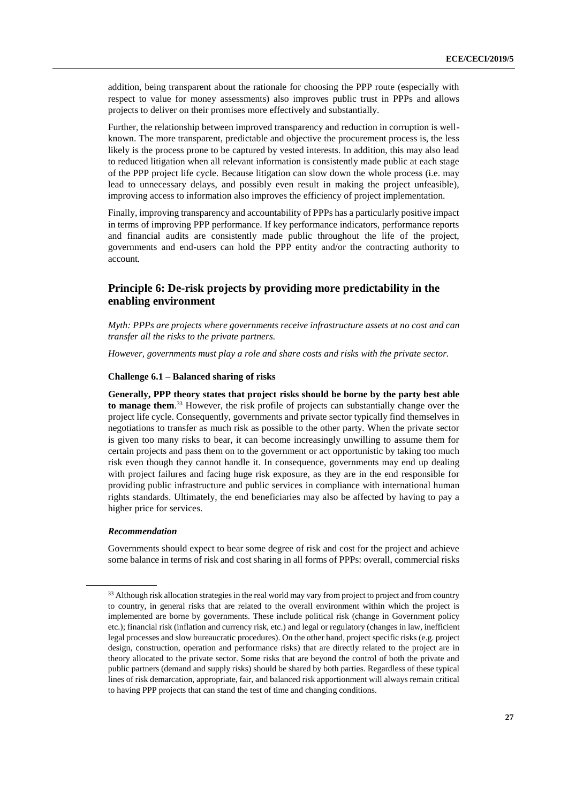addition, being transparent about the rationale for choosing the PPP route (especially with respect to value for money assessments) also improves public trust in PPPs and allows projects to deliver on their promises more effectively and substantially.

Further, the relationship between improved transparency and reduction in corruption is wellknown. The more transparent, predictable and objective the procurement process is, the less likely is the process prone to be captured by vested interests. In addition, this may also lead to reduced litigation when all relevant information is consistently made public at each stage of the PPP project life cycle. Because litigation can slow down the whole process (i.e. may lead to unnecessary delays, and possibly even result in making the project unfeasible), improving access to information also improves the efficiency of project implementation.

Finally, improving transparency and accountability of PPPs has a particularly positive impact in terms of improving PPP performance. If key performance indicators, performance reports and financial audits are consistently made public throughout the life of the project, governments and end-users can hold the PPP entity and/or the contracting authority to account.

# <span id="page-26-0"></span>**Principle 6: De-risk projects by providing more predictability in the enabling environment**

*Myth: PPPs are projects where governments receive infrastructure assets at no cost and can transfer all the risks to the private partners.* 

*However, governments must play a role and share costs and risks with the private sector.*

### **Challenge 6.1 – Balanced sharing of risks**

**Generally, PPP theory states that project risks should be borne by the party best able to manage them**. <sup>33</sup> However, the risk profile of projects can substantially change over the project life cycle. Consequently, governments and private sector typically find themselves in negotiations to transfer as much risk as possible to the other party. When the private sector is given too many risks to bear, it can become increasingly unwilling to assume them for certain projects and pass them on to the government or act opportunistic by taking too much risk even though they cannot handle it. In consequence, governments may end up dealing with project failures and facing huge risk exposure, as they are in the end responsible for providing public infrastructure and public services in compliance with international human rights standards. Ultimately, the end beneficiaries may also be affected by having to pay a higher price for services.

### *Recommendation*

Governments should expect to bear some degree of risk and cost for the project and achieve some balance in terms of risk and cost sharing in all forms of PPPs: overall, commercial risks

<sup>&</sup>lt;sup>33</sup> Although risk allocation strategies in the real world may vary from project to project and from country to country, in general risks that are related to the overall environment within which the project is implemented are borne by governments. These include political risk (change in Government policy etc.); financial risk (inflation and currency risk, etc.) and legal or regulatory (changes in law, inefficient legal processes and slow bureaucratic procedures). On the other hand, project specific risks (e.g. project design, construction, operation and performance risks) that are directly related to the project are in theory allocated to the private sector. Some risks that are beyond the control of both the private and public partners (demand and supply risks) should be shared by both parties. Regardless of these typical lines of risk demarcation, appropriate, fair, and balanced risk apportionment will always remain critical to having PPP projects that can stand the test of time and changing conditions.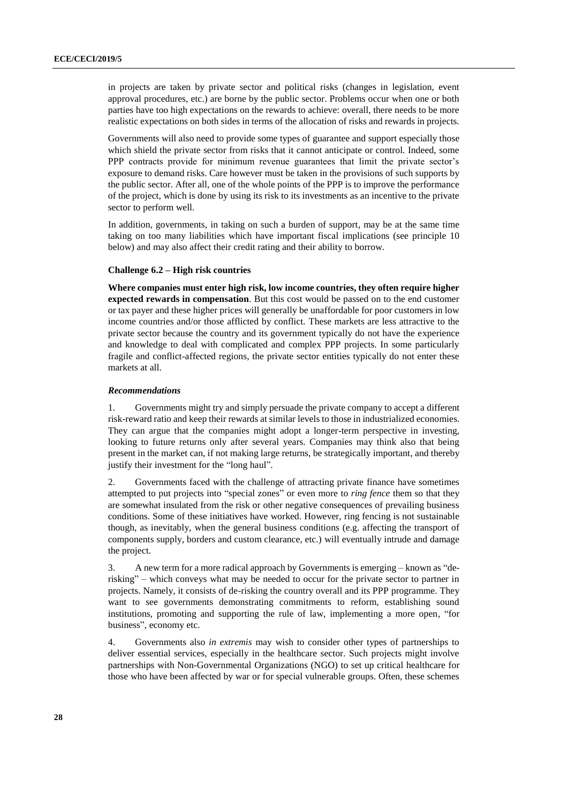in projects are taken by private sector and political risks (changes in legislation, event approval procedures, etc.) are borne by the public sector. Problems occur when one or both parties have too high expectations on the rewards to achieve: overall, there needs to be more realistic expectations on both sides in terms of the allocation of risks and rewards in projects.

Governments will also need to provide some types of guarantee and support especially those which shield the private sector from risks that it cannot anticipate or control. Indeed, some PPP contracts provide for minimum revenue guarantees that limit the private sector's exposure to demand risks. Care however must be taken in the provisions of such supports by the public sector. After all, one of the whole points of the PPP is to improve the performance of the project, which is done by using its risk to its investments as an incentive to the private sector to perform well.

In addition, governments, in taking on such a burden of support, may be at the same time taking on too many liabilities which have important fiscal implications (see principle 10 below) and may also affect their credit rating and their ability to borrow.

## **Challenge 6.2 – High risk countries**

**Where companies must enter high risk, low income countries, they often require higher expected rewards in compensation**. But this cost would be passed on to the end customer or tax payer and these higher prices will generally be unaffordable for poor customers in low income countries and/or those afflicted by conflict. These markets are less attractive to the private sector because the country and its government typically do not have the experience and knowledge to deal with complicated and complex PPP projects. In some particularly fragile and conflict-affected regions, the private sector entities typically do not enter these markets at all.

### *Recommendations*

1. Governments might try and simply persuade the private company to accept a different risk-reward ratio and keep their rewards at similar levels to those in industrialized economies. They can argue that the companies might adopt a longer-term perspective in investing, looking to future returns only after several years. Companies may think also that being present in the market can, if not making large returns, be strategically important, and thereby justify their investment for the "long haul".

2. Governments faced with the challenge of attracting private finance have sometimes attempted to put projects into "special zones" or even more to *ring fence* them so that they are somewhat insulated from the risk or other negative consequences of prevailing business conditions. Some of these initiatives have worked. However, ring fencing is not sustainable though, as inevitably, when the general business conditions (e.g. affecting the transport of components supply, borders and custom clearance, etc.) will eventually intrude and damage the project.

3. A new term for a more radical approach by Governments is emerging – known as "derisking" – which conveys what may be needed to occur for the private sector to partner in projects. Namely, it consists of de-risking the country overall and its PPP programme. They want to see governments demonstrating commitments to reform, establishing sound institutions, promoting and supporting the rule of law, implementing a more open, "for business", economy etc.

4. Governments also *in extremis* may wish to consider other types of partnerships to deliver essential services, especially in the healthcare sector. Such projects might involve partnerships with Non-Governmental Organizations (NGO) to set up critical healthcare for those who have been affected by war or for special vulnerable groups. Often, these schemes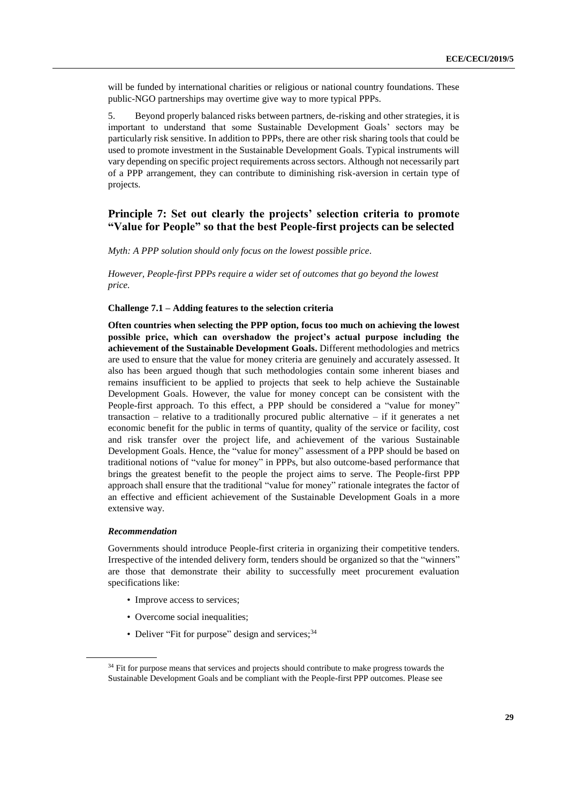will be funded by international charities or religious or national country foundations. These public-NGO partnerships may overtime give way to more typical PPPs.

5. Beyond properly balanced risks between partners, de-risking and other strategies, it is important to understand that some Sustainable Development Goals' sectors may be particularly risk sensitive. In addition to PPPs, there are other risk sharing tools that could be used to promote investment in the Sustainable Development Goals. Typical instruments will vary depending on specific project requirements across sectors. Although not necessarily part of a PPP arrangement, they can contribute to diminishing risk-aversion in certain type of projects.

# <span id="page-28-0"></span>**Principle 7: Set out clearly the projects' selection criteria to promote "Value for People" so that the best People-first projects can be selected**

*Myth: A PPP solution should only focus on the lowest possible price.*

*However, People-first PPPs require a wider set of outcomes that go beyond the lowest price.*

# **Challenge 7.1 – Adding features to the selection criteria**

**Often countries when selecting the PPP option, focus too much on achieving the lowest possible price, which can overshadow the project's actual purpose including the achievement of the Sustainable Development Goals.** Different methodologies and metrics are used to ensure that the value for money criteria are genuinely and accurately assessed. It also has been argued though that such methodologies contain some inherent biases and remains insufficient to be applied to projects that seek to help achieve the Sustainable Development Goals. However, the value for money concept can be consistent with the People-first approach. To this effect, a PPP should be considered a "value for money" transaction – relative to a traditionally procured public alternative – if it generates a net economic benefit for the public in terms of quantity, quality of the service or facility, cost and risk transfer over the project life, and achievement of the various Sustainable Development Goals. Hence, the "value for money" assessment of a PPP should be based on traditional notions of "value for money" in PPPs, but also outcome-based performance that brings the greatest benefit to the people the project aims to serve. The People-first PPP approach shall ensure that the traditional "value for money" rationale integrates the factor of an effective and efficient achievement of the Sustainable Development Goals in a more extensive way.

### *Recommendation*

Governments should introduce People-first criteria in organizing their competitive tenders. Irrespective of the intended delivery form, tenders should be organized so that the "winners" are those that demonstrate their ability to successfully meet procurement evaluation specifications like:

- Improve access to services;
- Overcome social inequalities;
- Deliver "Fit for purpose" design and services;  $34$

<sup>&</sup>lt;sup>34</sup> Fit for purpose means that services and projects should contribute to make progress towards the Sustainable Development Goals and be compliant with the People-first PPP outcomes. Please see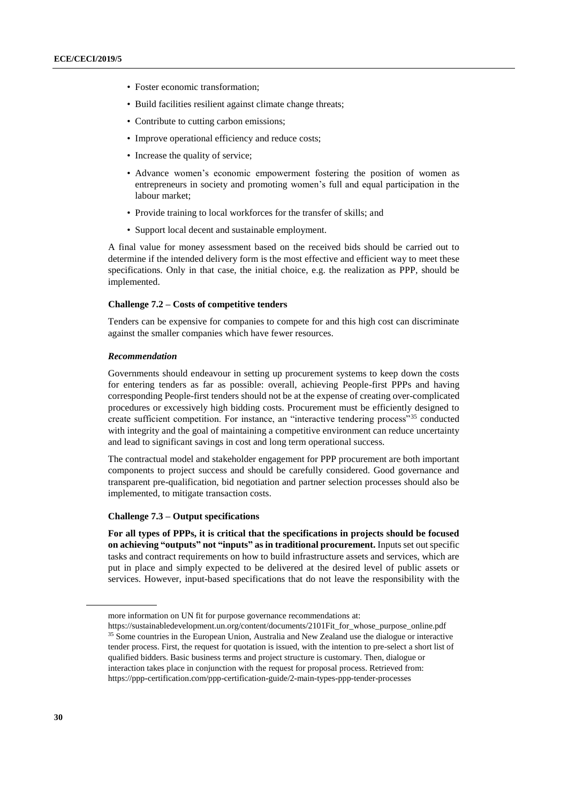- Foster economic transformation;
- Build facilities resilient against climate change threats;
- Contribute to cutting carbon emissions;
- Improve operational efficiency and reduce costs;
- Increase the quality of service;
- Advance women's economic empowerment fostering the position of women as entrepreneurs in society and promoting women's full and equal participation in the labour market;
- Provide training to local workforces for the transfer of skills; and
- Support local decent and sustainable employment.

A final value for money assessment based on the received bids should be carried out to determine if the intended delivery form is the most effective and efficient way to meet these specifications. Only in that case, the initial choice, e.g. the realization as PPP, should be implemented.

#### **Challenge 7.2 – Costs of competitive tenders**

Tenders can be expensive for companies to compete for and this high cost can discriminate against the smaller companies which have fewer resources.

#### *Recommendation*

Governments should endeavour in setting up procurement systems to keep down the costs for entering tenders as far as possible: overall, achieving People-first PPPs and having corresponding People-first tenders should not be at the expense of creating over-complicated procedures or excessively high bidding costs. Procurement must be efficiently designed to create sufficient competition. For instance, an "interactive tendering process"<sup>35</sup> conducted with integrity and the goal of maintaining a competitive environment can reduce uncertainty and lead to significant savings in cost and long term operational success.

The contractual model and stakeholder engagement for PPP procurement are both important components to project success and should be carefully considered. Good governance and transparent pre-qualification, bid negotiation and partner selection processes should also be implemented, to mitigate transaction costs.

# **Challenge 7.3 – Output specifications**

**For all types of PPPs, it is critical that the specifications in projects should be focused on achieving "outputs" not "inputs" as in traditional procurement.** Inputs set out specific tasks and contract requirements on how to build infrastructure assets and services, which are put in place and simply expected to be delivered at the desired level of public assets or services. However, input-based specifications that do not leave the responsibility with the

more information on UN fit for purpose governance recommendations at:

https://sustainabledevelopment.un.org/content/documents/2101Fit\_for\_whose\_purpose\_online.pdf <sup>35</sup> Some countries in the European Union, Australia and New Zealand use the dialogue or interactive tender process. First, the request for quotation is issued, with the intention to pre-select a short list of qualified bidders. Basic business terms and project structure is customary. Then, dialogue or interaction takes place in conjunction with the request for proposal process. Retrieved from: https://ppp-certification.com/ppp-certification-guide/2-main-types-ppp-tender-processes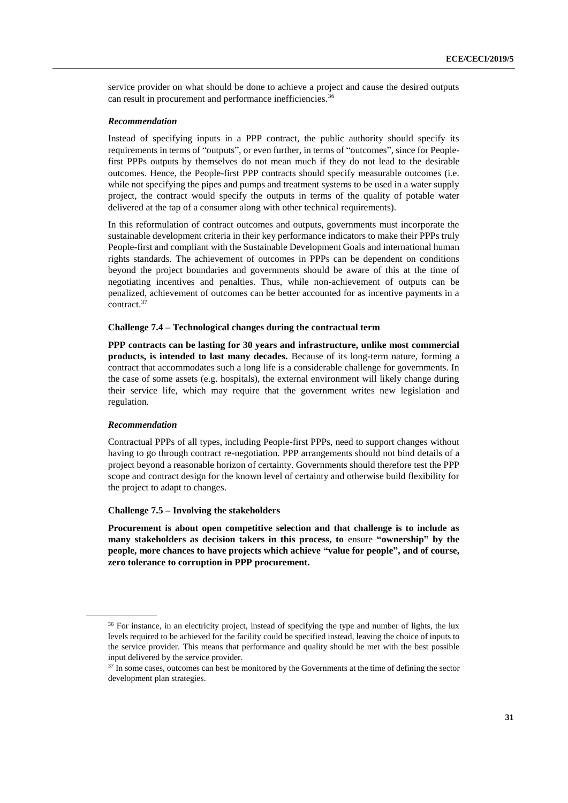service provider on what should be done to achieve a project and cause the desired outputs can result in procurement and performance inefficiencies.<sup>36</sup>

# *Recommendation*

Instead of specifying inputs in a PPP contract, the public authority should specify its requirements in terms of "outputs", or even further, in terms of "outcomes", since for Peoplefirst PPPs outputs by themselves do not mean much if they do not lead to the desirable outcomes. Hence, the People-first PPP contracts should specify measurable outcomes (i.e. while not specifying the pipes and pumps and treatment systems to be used in a water supply project, the contract would specify the outputs in terms of the quality of potable water delivered at the tap of a consumer along with other technical requirements).

In this reformulation of contract outcomes and outputs, governments must incorporate the sustainable development criteria in their key performance indicators to make their PPPs truly People-first and compliant with the Sustainable Development Goals and international human rights standards. The achievement of outcomes in PPPs can be dependent on conditions beyond the project boundaries and governments should be aware of this at the time of negotiating incentives and penalties. Thus, while non-achievement of outputs can be penalized, achievement of outcomes can be better accounted for as incentive payments in a contract.<sup>37</sup>

## **Challenge 7.4 – Technological changes during the contractual term**

**PPP contracts can be lasting for 30 years and infrastructure, unlike most commercial products, is intended to last many decades.** Because of its long-term nature, forming a contract that accommodates such a long life is a considerable challenge for governments. In the case of some assets (e.g. hospitals), the external environment will likely change during their service life, which may require that the government writes new legislation and regulation.

### *Recommendation*

Contractual PPPs of all types, including People-first PPPs, need to support changes without having to go through contract re-negotiation. PPP arrangements should not bind details of a project beyond a reasonable horizon of certainty. Governments should therefore test the PPP scope and contract design for the known level of certainty and otherwise build flexibility for the project to adapt to changes.

# **Challenge 7.5 – Involving the stakeholders**

**Procurement is about open competitive selection and that challenge is to include as many stakeholders as decision takers in this process, to** ensure **"ownership" by the people, more chances to have projects which achieve "value for people", and of course, zero tolerance to corruption in PPP procurement.** 

<sup>&</sup>lt;sup>36</sup> For instance, in an electricity project, instead of specifying the type and number of lights, the lux levels required to be achieved for the facility could be specified instead, leaving the choice of inputs to the service provider. This means that performance and quality should be met with the best possible input delivered by the service provider.

<sup>&</sup>lt;sup>37</sup> In some cases, outcomes can best be monitored by the Governments at the time of defining the sector development plan strategies.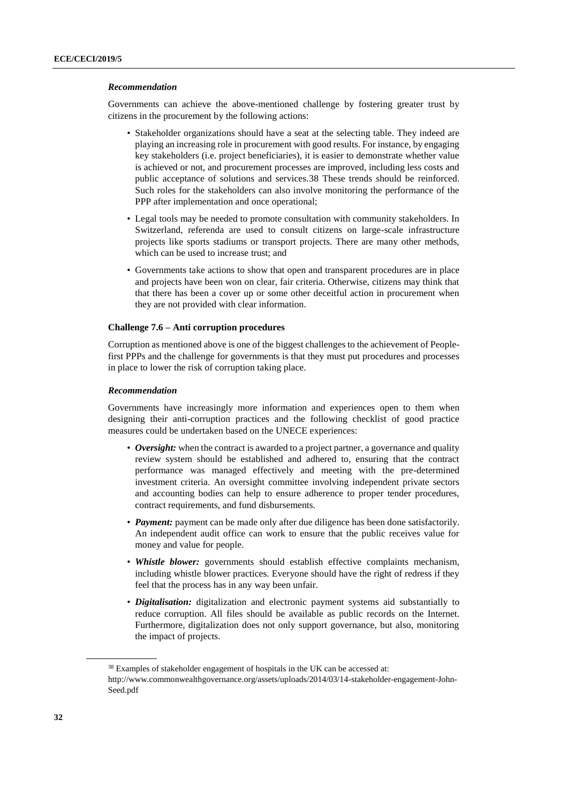#### *Recommendation*

Governments can achieve the above-mentioned challenge by fostering greater trust by citizens in the procurement by the following actions:

- Stakeholder organizations should have a seat at the selecting table. They indeed are playing an increasing role in procurement with good results. For instance, by engaging key stakeholders (i.e. project beneficiaries), it is easier to demonstrate whether value is achieved or not, and procurement processes are improved, including less costs and public acceptance of solutions and services.38 These trends should be reinforced. Such roles for the stakeholders can also involve monitoring the performance of the PPP after implementation and once operational;
- Legal tools may be needed to promote consultation with community stakeholders. In Switzerland, referenda are used to consult citizens on large-scale infrastructure projects like sports stadiums or transport projects. There are many other methods, which can be used to increase trust; and
- Governments take actions to show that open and transparent procedures are in place and projects have been won on clear, fair criteria. Otherwise, citizens may think that that there has been a cover up or some other deceitful action in procurement when they are not provided with clear information.

## **Challenge 7.6 – Anti corruption procedures**

Corruption as mentioned above is one of the biggest challenges to the achievement of Peoplefirst PPPs and the challenge for governments is that they must put procedures and processes in place to lower the risk of corruption taking place.

#### *Recommendation*

Governments have increasingly more information and experiences open to them when designing their anti-corruption practices and the following checklist of good practice measures could be undertaken based on the UNECE experiences:

- *Oversight:* when the contract is awarded to a project partner, a governance and quality review system should be established and adhered to, ensuring that the contract performance was managed effectively and meeting with the pre-determined investment criteria. An oversight committee involving independent private sectors and accounting bodies can help to ensure adherence to proper tender procedures, contract requirements, and fund disbursements.
- *Payment:* payment can be made only after due diligence has been done satisfactorily. An independent audit office can work to ensure that the public receives value for money and value for people.
- *Whistle blower:* governments should establish effective complaints mechanism, including whistle blower practices. Everyone should have the right of redress if they feel that the process has in any way been unfair.
- *Digitalisation:* digitalization and electronic payment systems aid substantially to reduce corruption. All files should be available as public records on the Internet. Furthermore, digitalization does not only support governance, but also, monitoring the impact of projects.

<sup>&</sup>lt;sup>38</sup> Examples of stakeholder engagement of hospitals in the UK can be accessed at:

http://www.commonwealthgovernance.org/assets/uploads/2014/03/14-stakeholder-engagement-John-Seed.pdf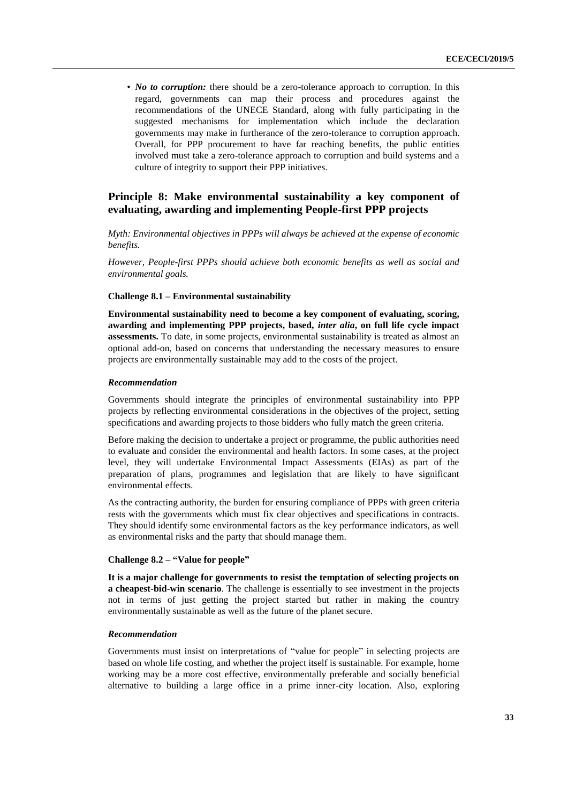• *No to corruption:* there should be a zero-tolerance approach to corruption. In this regard, governments can map their process and procedures against the recommendations of the UNECE Standard, along with fully participating in the suggested mechanisms for implementation which include the declaration governments may make in furtherance of the zero-tolerance to corruption approach. Overall, for PPP procurement to have far reaching benefits, the public entities involved must take a zero-tolerance approach to corruption and build systems and a culture of integrity to support their PPP initiatives.

# <span id="page-32-0"></span>**Principle 8: Make environmental sustainability a key component of evaluating, awarding and implementing People-first PPP projects**

*Myth: Environmental objectives in PPPs will always be achieved at the expense of economic benefits.* 

*However, People-first PPPs should achieve both economic benefits as well as social and environmental goals.*

# **Challenge 8.1 – Environmental sustainability**

**Environmental sustainability need to become a key component of evaluating, scoring, awarding and implementing PPP projects, based,** *inter alia***, on full life cycle impact assessments.** To date, in some projects, environmental sustainability is treated as almost an optional add-on, based on concerns that understanding the necessary measures to ensure projects are environmentally sustainable may add to the costs of the project.

## *Recommendation*

Governments should integrate the principles of environmental sustainability into PPP projects by reflecting environmental considerations in the objectives of the project, setting specifications and awarding projects to those bidders who fully match the green criteria.

Before making the decision to undertake a project or programme, the public authorities need to evaluate and consider the environmental and health factors. In some cases, at the project level, they will undertake Environmental Impact Assessments (EIAs) as part of the preparation of plans, programmes and legislation that are likely to have significant environmental effects.

As the contracting authority, the burden for ensuring compliance of PPPs with green criteria rests with the governments which must fix clear objectives and specifications in contracts. They should identify some environmental factors as the key performance indicators, as well as environmental risks and the party that should manage them.

# **Challenge 8.2 – "Value for people"**

**It is a major challenge for governments to resist the temptation of selecting projects on a cheapest-bid-win scenario**. The challenge is essentially to see investment in the projects not in terms of just getting the project started but rather in making the country environmentally sustainable as well as the future of the planet secure.

## *Recommendation*

Governments must insist on interpretations of "value for people" in selecting projects are based on whole life costing, and whether the project itself is sustainable. For example, home working may be a more cost effective, environmentally preferable and socially beneficial alternative to building a large office in a prime inner-city location. Also, exploring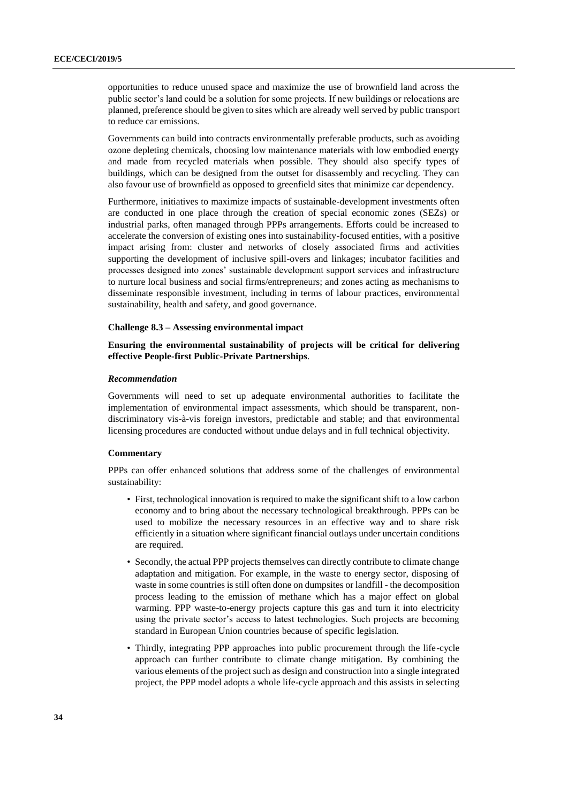opportunities to reduce unused space and maximize the use of brownfield land across the public sector's land could be a solution for some projects. If new buildings or relocations are planned, preference should be given to sites which are already well served by public transport to reduce car emissions.

Governments can build into contracts environmentally preferable products, such as avoiding ozone depleting chemicals, choosing low maintenance materials with low embodied energy and made from recycled materials when possible. They should also specify types of buildings, which can be designed from the outset for disassembly and recycling. They can also favour use of brownfield as opposed to greenfield sites that minimize car dependency.

Furthermore, initiatives to maximize impacts of sustainable-development investments often are conducted in one place through the creation of special economic zones (SEZs) or industrial parks, often managed through PPPs arrangements. Efforts could be increased to accelerate the conversion of existing ones into sustainability-focused entities, with a positive impact arising from: cluster and networks of closely associated firms and activities supporting the development of inclusive spill-overs and linkages; incubator facilities and processes designed into zones' sustainable development support services and infrastructure to nurture local business and social firms/entrepreneurs; and zones acting as mechanisms to disseminate responsible investment, including in terms of labour practices, environmental sustainability, health and safety, and good governance.

## **Challenge 8.3 – Assessing environmental impact**

## **Ensuring the environmental sustainability of projects will be critical for delivering effective People-first Public-Private Partnerships**.

#### *Recommendation*

Governments will need to set up adequate environmental authorities to facilitate the implementation of environmental impact assessments, which should be transparent, nondiscriminatory vis-à-vis foreign investors, predictable and stable; and that environmental licensing procedures are conducted without undue delays and in full technical objectivity.

# **Commentary**

PPPs can offer enhanced solutions that address some of the challenges of environmental sustainability:

- First, technological innovation is required to make the significant shift to a low carbon economy and to bring about the necessary technological breakthrough. PPPs can be used to mobilize the necessary resources in an effective way and to share risk efficiently in a situation where significant financial outlays under uncertain conditions are required.
- Secondly, the actual PPP projects themselves can directly contribute to climate change adaptation and mitigation. For example, in the waste to energy sector, disposing of waste in some countries is still often done on dumpsites or landfill - the decomposition process leading to the emission of methane which has a major effect on global warming. PPP waste-to-energy projects capture this gas and turn it into electricity using the private sector's access to latest technologies. Such projects are becoming standard in European Union countries because of specific legislation.
- Thirdly, integrating PPP approaches into public procurement through the life-cycle approach can further contribute to climate change mitigation. By combining the various elements of the project such as design and construction into a single integrated project, the PPP model adopts a whole life-cycle approach and this assists in selecting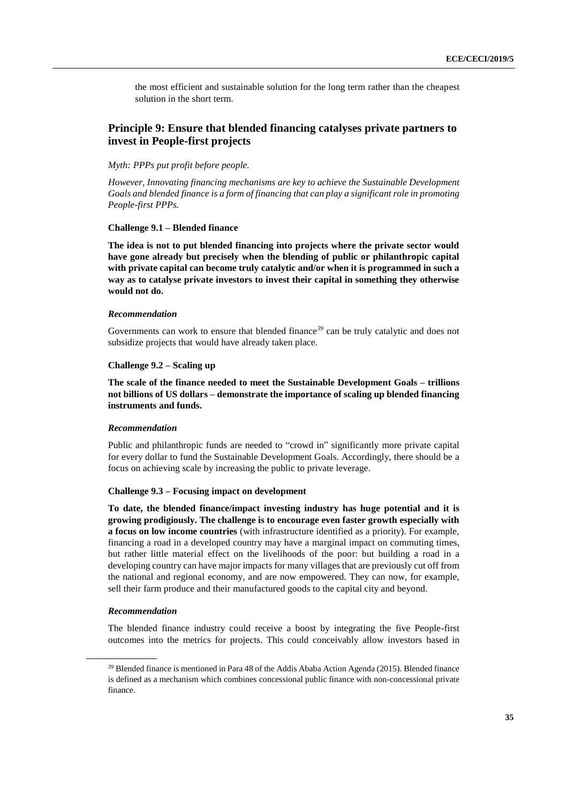the most efficient and sustainable solution for the long term rather than the cheapest solution in the short term.

# <span id="page-34-0"></span>**Principle 9: Ensure that blended financing catalyses private partners to invest in People-first projects**

# *Myth: PPPs put profit before people.*

*However, Innovating financing mechanisms are key to achieve the Sustainable Development Goals and blended finance is a form of financing that can play a significant role in promoting People-first PPPs.*

# **Challenge 9.1 – Blended finance**

**The idea is not to put blended financing into projects where the private sector would have gone already but precisely when the blending of public or philanthropic capital with private capital can become truly catalytic and/or when it is programmed in such a way as to catalyse private investors to invest their capital in something they otherwise would not do.**

### *Recommendation*

Governments can work to ensure that blended finance<sup>39</sup> can be truly catalytic and does not subsidize projects that would have already taken place.

## **Challenge 9.2 – Scaling up**

**The scale of the finance needed to meet the Sustainable Development Goals – trillions not billions of US dollars – demonstrate the importance of scaling up blended financing instruments and funds.**

## *Recommendation*

Public and philanthropic funds are needed to "crowd in" significantly more private capital for every dollar to fund the Sustainable Development Goals. Accordingly, there should be a focus on achieving scale by increasing the public to private leverage.

# **Challenge 9.3 – Focusing impact on development**

**To date, the blended finance/impact investing industry has huge potential and it is growing prodigiously. The challenge is to encourage even faster growth especially with a focus on low income countries** (with infrastructure identified as a priority). For example, financing a road in a developed country may have a marginal impact on commuting times, but rather little material effect on the livelihoods of the poor: but building a road in a developing country can have major impacts for many villages that are previously cut off from the national and regional economy, and are now empowered. They can now, for example, sell their farm produce and their manufactured goods to the capital city and beyond.

#### *Recommendation*

The blended finance industry could receive a boost by integrating the five People-first outcomes into the metrics for projects. This could conceivably allow investors based in

<sup>39</sup> Blended finance is mentioned in Para 48 of the Addis Ababa Action Agenda (2015). Blended finance is defined as a mechanism which combines concessional public finance with non-concessional private finance.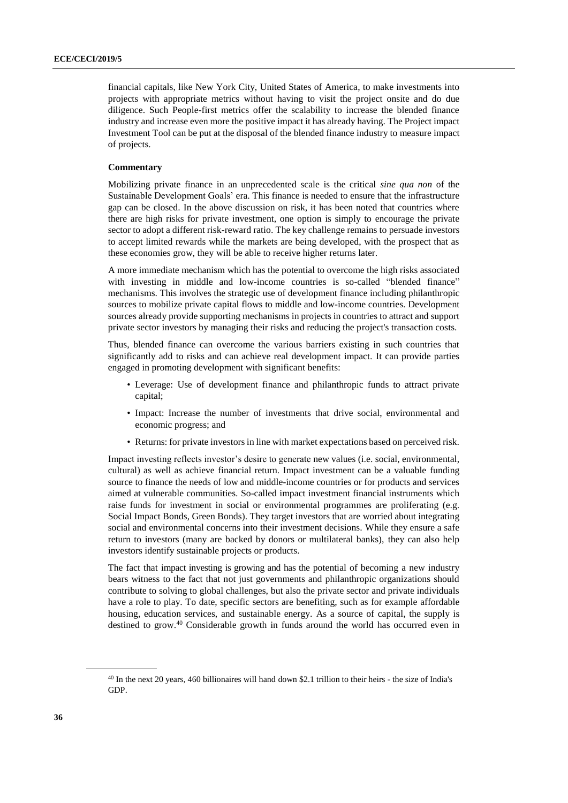financial capitals, like New York City, United States of America, to make investments into projects with appropriate metrics without having to visit the project onsite and do due diligence. Such People-first metrics offer the scalability to increase the blended finance industry and increase even more the positive impact it has already having. The Project impact Investment Tool can be put at the disposal of the blended finance industry to measure impact of projects.

# **Commentary**

Mobilizing private finance in an unprecedented scale is the critical *sine qua non* of the Sustainable Development Goals' era. This finance is needed to ensure that the infrastructure gap can be closed. In the above discussion on risk, it has been noted that countries where there are high risks for private investment, one option is simply to encourage the private sector to adopt a different risk-reward ratio. The key challenge remains to persuade investors to accept limited rewards while the markets are being developed, with the prospect that as these economies grow, they will be able to receive higher returns later.

A more immediate mechanism which has the potential to overcome the high risks associated with investing in middle and low-income countries is so-called "blended finance" mechanisms. This involves the strategic use of development finance including philanthropic sources to mobilize private capital flows to middle and low-income countries. Development sources already provide supporting mechanisms in projects in countries to attract and support private sector investors by managing their risks and reducing the project's transaction costs.

Thus, blended finance can overcome the various barriers existing in such countries that significantly add to risks and can achieve real development impact. It can provide parties engaged in promoting development with significant benefits:

- Leverage: Use of development finance and philanthropic funds to attract private capital;
- Impact: Increase the number of investments that drive social, environmental and economic progress; and
- Returns: for private investors in line with market expectations based on perceived risk.

Impact investing reflects investor's desire to generate new values (i.e. social, environmental, cultural) as well as achieve financial return. Impact investment can be a valuable funding source to finance the needs of low and middle-income countries or for products and services aimed at vulnerable communities. So-called impact investment financial instruments which raise funds for investment in social or environmental programmes are proliferating (e.g. Social Impact Bonds, Green Bonds). They target investors that are worried about integrating social and environmental concerns into their investment decisions. While they ensure a safe return to investors (many are backed by donors or multilateral banks), they can also help investors identify sustainable projects or products.

The fact that impact investing is growing and has the potential of becoming a new industry bears witness to the fact that not just governments and philanthropic organizations should contribute to solving to global challenges, but also the private sector and private individuals have a role to play. To date, specific sectors are benefiting, such as for example affordable housing, education services, and sustainable energy. As a source of capital, the supply is destined to grow. <sup>40</sup> Considerable growth in funds around the world has occurred even in

<sup>40</sup> In the next 20 years, 460 billionaires will hand down \$2.1 trillion to their heirs - the size of India's GDP.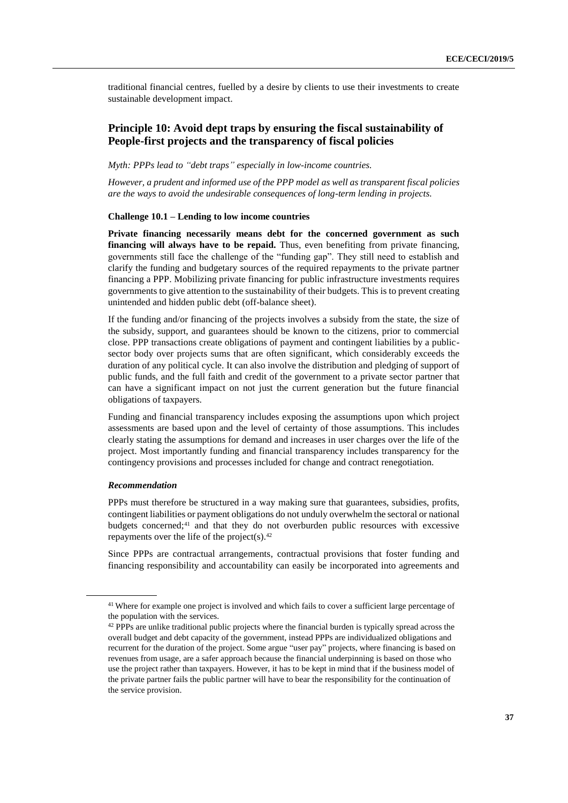traditional financial centres, fuelled by a desire by clients to use their investments to create sustainable development impact.

# <span id="page-36-0"></span>**Principle 10: Avoid dept traps by ensuring the fiscal sustainability of People-first projects and the transparency of fiscal policies**

# *Myth: PPPs lead to "debt traps" especially in low-income countries.*

*However, a prudent and informed use of the PPP model as well as transparent fiscal policies are the ways to avoid the undesirable consequences of long-term lending in projects.*

### **Challenge 10.1 – Lending to low income countries**

**Private financing necessarily means debt for the concerned government as such financing will always have to be repaid.** Thus, even benefiting from private financing, governments still face the challenge of the "funding gap". They still need to establish and clarify the funding and budgetary sources of the required repayments to the private partner financing a PPP. Mobilizing private financing for public infrastructure investments requires governments to give attention to the sustainability of their budgets. This is to prevent creating unintended and hidden public debt (off-balance sheet).

If the funding and/or financing of the projects involves a subsidy from the state, the size of the subsidy, support, and guarantees should be known to the citizens, prior to commercial close. PPP transactions create obligations of payment and contingent liabilities by a publicsector body over projects sums that are often significant, which considerably exceeds the duration of any political cycle. It can also involve the distribution and pledging of support of public funds, and the full faith and credit of the government to a private sector partner that can have a significant impact on not just the current generation but the future financial obligations of taxpayers.

Funding and financial transparency includes exposing the assumptions upon which project assessments are based upon and the level of certainty of those assumptions. This includes clearly stating the assumptions for demand and increases in user charges over the life of the project. Most importantly funding and financial transparency includes transparency for the contingency provisions and processes included for change and contract renegotiation.

# *Recommendation*

PPPs must therefore be structured in a way making sure that guarantees, subsidies, profits, contingent liabilities or payment obligations do not unduly overwhelm the sectoral or national budgets concerned;<sup>41</sup> and that they do not overburden public resources with excessive repayments over the life of the project(s). $42$ 

Since PPPs are contractual arrangements, contractual provisions that foster funding and financing responsibility and accountability can easily be incorporated into agreements and

<sup>&</sup>lt;sup>41</sup> Where for example one project is involved and which fails to cover a sufficient large percentage of the population with the services.

<sup>&</sup>lt;sup>42</sup> PPPs are unlike traditional public projects where the financial burden is typically spread across the overall budget and debt capacity of the government, instead PPPs are individualized obligations and recurrent for the duration of the project. Some argue "user pay" projects, where financing is based on revenues from usage, are a safer approach because the financial underpinning is based on those who use the project rather than taxpayers. However, it has to be kept in mind that if the business model of the private partner fails the public partner will have to bear the responsibility for the continuation of the service provision.